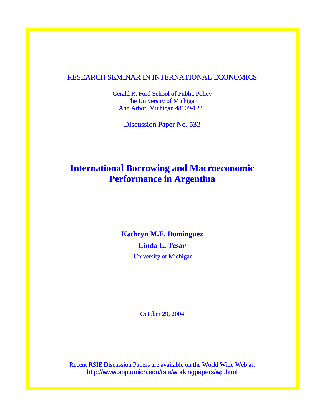#### RESEARCH SEMINAR IN INTERNATIONAL ECONOMICS

Gerald R. Ford School of Public Policy The University of Michigan Ann Arbor, Michigan 48109-1220

Discussion Paper No. 532

## **International Borrowing and Macroeconomic Performance in Argentina**

#### **Kathryn M.E. Dominguez**

**Linda L. Tesar**  University of Michigan

October 29, 2004

Recent RSIE Discussion Papers are available on the World Wide Web at: http://www.spp.umich.edu/rsie/workingpapers/wp.html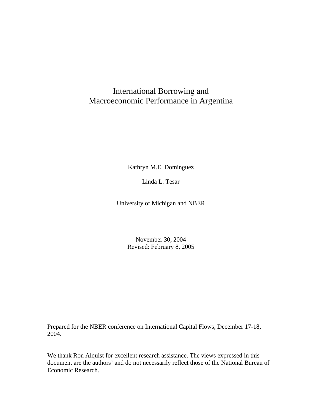### International Borrowing and Macroeconomic Performance in Argentina

Kathryn M.E. Dominguez

Linda L. Tesar

University of Michigan and NBER

November 30, 2004 Revised: February 8, 2005

Prepared for the NBER conference on International Capital Flows, December 17-18, 2004.

We thank Ron Alquist for excellent research assistance. The views expressed in this document are the authors' and do not necessarily reflect those of the National Bureau of Economic Research.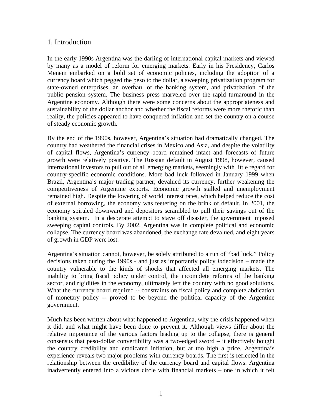#### 1. Introduction

In the early 1990s Argentina was the darling of international capital markets and viewed by many as a model of reform for emerging markets. Early in his Presidency, Carlos Menem embarked on a bold set of economic policies, including the adoption of a currency board which pegged the peso to the dollar, a sweeping privatization program for state-owned enterprises, an overhaul of the banking system, and privatization of the public pension system. The business press marveled over the rapid turnaround in the Argentine economy. Although there were some concerns about the appropriateness and sustainability of the dollar anchor and whether the fiscal reforms were more rhetoric than reality, the policies appeared to have conquered inflation and set the country on a course of steady economic growth.

By the end of the 1990s, however, Argentina's situation had dramatically changed. The country had weathered the financial crises in Mexico and Asia, and despite the volatility of capital flows, Argentina's currency board remained intact and forecasts of future growth were relatively positive. The Russian default in August 1998, however, caused international investors to pull out of all emerging markets, seemingly with little regard for country-specific economic conditions. More bad luck followed in January 1999 when Brazil, Argentina's major trading partner, devalued its currency, further weakening the competitiveness of Argentine exports. Economic growth stalled and unemployment remained high. Despite the lowering of world interest rates, which helped reduce the cost of external borrowing, the economy was teetering on the brink of default. In 2001, the economy spiraled downward and depositors scrambled to pull their savings out of the banking system. In a desperate attempt to stave off disaster, the government imposed sweeping capital controls. By 2002, Argentina was in complete political and economic collapse. The currency board was abandoned, the exchange rate devalued, and eight years of growth in GDP were lost.

Argentina's situation cannot, however, be solely attributed to a run of "bad luck." Policy decisions taken during the 1990s - and just as importantly policy *in*decision – made the country vulnerable to the kinds of shocks that affected all emerging markets. The inability to bring fiscal policy under control, the incomplete reforms of the banking sector, and rigidities in the economy, ultimately left the country with no good solutions. What the currency board required -- constraints on fiscal policy and complete abdication of monetary policy -- proved to be beyond the political capacity of the Argentine government.

Much has been written about what happened to Argentina, why the crisis happened when it did, and what might have been done to prevent it. Although views differ about the relative importance of the various factors leading up to the collapse, there is general consensus that peso-dollar convertibility was a two-edged sword – it effectively bought the country credibility and eradicated inflation, but at too high a price. Argentina's experience reveals two major problems with currency boards. The first is reflected in the relationship between the credibility of the currency board and capital flows. Argentina inadvertently entered into a vicious circle with financial markets – one in which it felt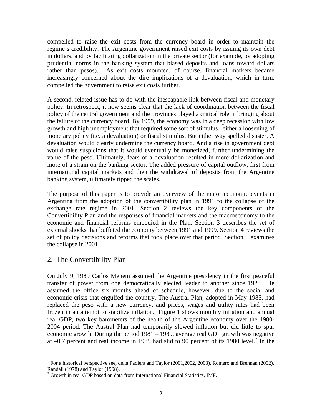compelled to raise the exit costs from the currency board in order to maintain the regime's credibility. The Argentine government raised exit costs by issuing its own debt in dollars, and by facilitating dollarization in the private sector (for example, by adopting prudential norms in the banking system that biased deposits and loans toward dollars rather than pesos). As exit costs mounted, of course, financial markets became increasingly concerned about the dire implications of a devaluation, which in turn, compelled the government to raise exit costs further.

A second, related issue has to do with the inescapable link between fiscal and monetary policy. In retrospect, it now seems clear that the lack of coordination between the fiscal policy of the central government and the provinces played a critical role in bringing about the failure of the currency board. By 1999, the economy was in a deep recession with low growth and high unemployment that required some sort of stimulus –either a loosening of monetary policy (i.e. a devaluation) or fiscal stimulus. But either way spelled disaster. A devaluation would clearly undermine the currency board. And a rise in government debt would raise suspicions that it would eventually be monetized, further undermining the value of the peso. Ultimately, fears of a devaluation resulted in more dollarization and more of a strain on the banking sector. The added pressure of capital outflow, first from international capital markets and then the withdrawal of deposits from the Argentine banking system, ultimately tipped the scales.

The purpose of this paper is to provide an overview of the major economic events in Argentina from the adoption of the convertibility plan in 1991 to the collapse of the exchange rate regime in 2001. Section 2 reviews the key components of the Convertibility Plan and the responses of financial markets and the macroeconomy to the economic and financial reforms embodied in the Plan. Section 3 describes the set of external shocks that buffeted the economy between 1991 and 1999. Section 4 reviews the set of policy decisions and reforms that took place over that period. Section 5 examines the collapse in 2001.

#### 2. The Convertibility Plan

1

On July 9, 1989 Carlos Menem assumed the Argentine presidency in the first peaceful transfer of power from one democratically elected leader to another since  $1928$  $1928$ .<sup>1</sup> He assumed the office six months ahead of schedule, however, due to the social and economic crisis that engulfed the country. The Austral Plan, adopted in May 1985, had replaced the peso with a new currency, and prices, wages and utility rates had been frozen in an attempt to stabilize inflation. Figure 1 shows monthly inflation and annual real GDP, two key barometers of the health of the Argentine economy over the 1980- 2004 period. The Austral Plan had temporarily slowed inflation but did little to spur economic growth. During the period 1981 – 1989, average real GDP growth was negative at  $-0.7$  percent and real income in 1989 had slid to 90 percent of its 1980 level.<sup>2</sup> In the

<span id="page-3-0"></span><sup>&</sup>lt;sup>1</sup> For a historical perspective see, della Paolera and Taylor (2001,2002, 2003), Romero and Brennan (2002), Randall (1978) and Taylor (1998). 2

<span id="page-3-1"></span> $^{2}$  Growth in real GDP based on data from International Financial Statistics, IMF.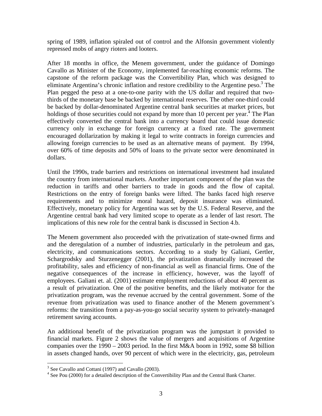spring of 1989, inflation spiraled out of control and the Alfonsin government violently repressed mobs of angry rioters and looters.

After 18 months in office, the Menem government, under the guidance of Domingo Cavallo as Minister of the Economy, implemented far-reaching economic reforms. The capstone of the reform package was the Convertibility Plan, which was designed to eliminate Argentina's chronic inflation and restore credibility to the Argentine peso.<sup>3</sup> The Plan pegged the peso at a one-to-one parity with the US dollar and required that twothirds of the monetary base be backed by international reserves. The other one-third could be backed by dollar-denominated Argentine central bank securities at market prices, but holdings of those securities could not expand by more than 10 percent per year.<sup>4</sup> The Plan effectively converted the central bank into a currency board that could issue domestic currency only in exchange for foreign currency at a fixed rate. The government encouraged dollarization by making it legal to write contracts in foreign currencies and allowing foreign currencies to be used as an alternative means of payment. By 1994, over 60% of time deposits and 50% of loans to the private sector were denominated in dollars.

Until the 1990s, trade barriers and restrictions on international investment had insulated the country from international markets. Another important component of the plan was the reduction in tariffs and other barriers to trade in goods and the flow of capital. Restrictions on the entry of foreign banks were lifted. The banks faced high reserve requirements and to minimize moral hazard, deposit insurance was eliminated. Effectively, monetary policy for Argentina was set by the U.S. Federal Reserve, and the Argentine central bank had very limited scope to operate as a lender of last resort. The implications of this new role for the central bank is discussed in Section 4.b.

The Menem government also proceeded with the privatization of state-owned firms and and the deregulation of a number of industries, particularly in the petroleum and gas, electricity, and communications sectors. According to a study by Galiani, Gertler, Schargrodsky and Sturzenegger (2001), the privatization dramatically increased the profitability, sales and efficiency of non-financial as well as financial firms. One of the negative consequences of the increase in efficiency, however, was the layoff of employees. Galiani et. al. (2001) estimate employment reductions of about 40 percent as a result of privatization. One of the positive benefits, and the likely motivator for the privatization program, was the revenue accrued by the central government. Some of the revenue from privatization was used to finance another of the Menem government's reforms: the transition from a pay-as-you-go social security system to privately-managed retirement saving accounts.

An additional benefit of the privatization program was the jumpstart it provided to financial markets. Figure 2 shows the value of mergers and acquisitions of Argentine companies over the 1990 – 2003 period. In the first M&A boom in 1992, some \$8 billion in assets changed hands, over 90 percent of which were in the electricity, gas, petroleum

 $\overline{a}$ 

<span id="page-4-0"></span><sup>&</sup>lt;sup>3</sup> See Cavallo and Cottani (1997) and Cavallo (2003).

<span id="page-4-1"></span><sup>&</sup>lt;sup>4</sup> See Pou (2000) for a detailed description of the Convertibility Plan and the Central Bank Charter.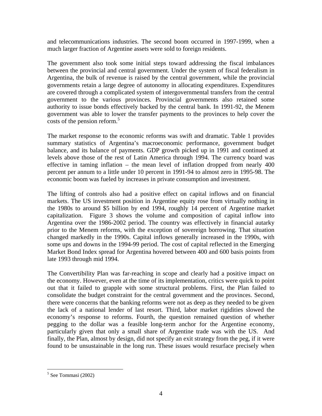and telecommunications industries. The second boom occurred in 1997-1999, when a much larger fraction of Argentine assets were sold to foreign residents.

The government also took some initial steps toward addressing the fiscal imbalances between the provincial and central government. Under the system of fiscal federalism in Argentina, the bulk of revenue is raised by the central government, while the provincial governments retain a large degree of autonomy in allocating expenditures. Expenditures are covered through a complicated system of intergovernmental transfers from the central government to the various provinces. Provincial governments also retained some authority to issue bonds effectively backed by the central bank. In 1991-92, the Menem government was able to lower the transfer payments to the provinces to help cover the costs of the pension reform.<sup>[5](#page-5-0)</sup>

The market response to the economic reforms was swift and dramatic. Table 1 provides summary statistics of Argentina's macroeconomic performance, government budget balance, and its balance of payments. GDP growth picked up in 1991 and continued at levels above those of the rest of Latin America through 1994. The currency board was effective in taming inflation – the mean level of inflation dropped from nearly 400 percent per annum to a little under 10 percent in 1991-94 to almost zero in 1995-98. The economic boom was fueled by increases in private consumption and investment.

The lifting of controls also had a positive effect on capital inflows and on financial markets. The US investment position in Argentine equity rose from virtually nothing in the 1980s to around \$5 billion by end 1994, roughly 14 percent of Argentine market capitalization. Figure 3 shows the volume and composition of capital inflow into Argentina over the 1986-2002 period. The country was effectively in financial autarky prior to the Menem reforms, with the exception of sovereign borrowing. That situation changed markedly in the 1990s. Capital inflows generally increased in the 1990s, with some ups and downs in the 1994-99 period. The cost of capital reflected in the Emerging Market Bond Index spread for Argentina hovered between 400 and 600 basis points from late 1993 through mid 1994.

The Convertibility Plan was far-reaching in scope and clearly had a positive impact on the economy. However, even at the time of its implementation, critics were quick to point out that it failed to grapple with some structural problems. First, the Plan failed to consolidate the budget constraint for the central government and the provinces. Second, there were concerns that the banking reforms were not as deep as they needed to be given the lack of a national lender of last resort. Third, labor market rigidities slowed the economy's response to reforms. Fourth, the question remained question of whether pegging to the dollar was a feasible long-term anchor for the Argentine economy, particularly given that only a small share of Argentine trade was with the US. And finally, the Plan, almost by design, did not specify an exit strategy from the peg, if it were found to be unsustainable in the long run. These issues would resurface precisely when

<u>.</u>

<span id="page-5-0"></span><sup>5</sup> See Tommasi (2002)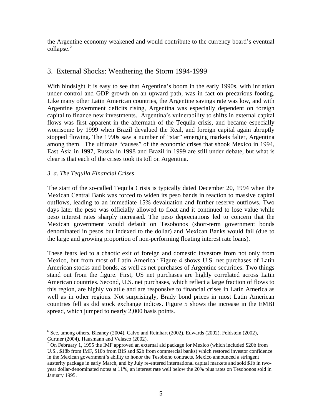the Argentine economy weakened and would contribute to the currency board's eventual collapse.<sup>6</sup>

### 3. External Shocks: Weathering the Storm 1994-1999

With hindsight it is easy to see that Argentina's boom in the early 1990s, with inflation under control and GDP growth on an upward path, was in fact on precarious footing. Like many other Latin American countries, the Argentine savings rate was low, and with Argentine government deficits rising, Argentina was especially dependent on foreign capital to finance new investments. Argentina's vulnerability to shifts in external capital flows was first apparent in the aftermath of the Tequila crisis, and became especially worrisome by 1999 when Brazil devalued the Real, and foreign capital again abruptly stopped flowing. The 1990s saw a number of "star" emerging markets falter, Argentina among them. The ultimate "causes" of the economic crises that shook Mexico in 1994, East Asia in 1997, Russia in 1998 and Brazil in 1999 are still under debate, but what is clear is that each of the crises took its toll on Argentina.

#### *3. a. The Tequila Financial Crises*

1

The start of the so-called Tequila Crisis is typically dated December 20, 1994 when the Mexican Central Bank was forced to widen its peso bands in reaction to massive capital outflows, leading to an immediate 15% devaluation and further reserve outflows. Two days later the peso was officially allowed to float and it continued to lose value while peso interest rates sharply increased. The peso depreciations led to concern that the Mexican government would default on Tesobonos (short-term government bonds denominated in pesos but indexed to the dollar) and Mexican Banks would fail (due to the large and growing proportion of non-performing floating interest rate loans).

These fears led to a chaotic exit of foreign and domestic investors from not only from Mexico, but from most of Latin America.<sup>7</sup> Figure 4 shows U.S. net purchases of Latin American stocks and bonds, as well as net purchases of Argentine securities. Two things stand out from the figure. First, US net purchases are highly correlated across Latin American countries. Second, U.S. net purchases, which reflect a large fraction of flows to this region, are highly volatile and are responsive to financial crises in Latin America as well as in other regions. Not surprisingly, Brady bond prices in most Latin American countries fell as did stock exchange indices. Figure 5 shows the increase in the EMBI spread, which jumped to nearly 2,000 basis points.

<span id="page-6-0"></span><sup>&</sup>lt;sup>6</sup> See, among others, Bleaney (2004), Calvo and Reinhart (2002), Edwards (2002), Feldstein (2002), Gurtner (2004), Hausmann and Velasco (2002).

<span id="page-6-1"></span><sup>&</sup>lt;sup>7</sup> On February 1, 1995 the IMF approved an external aid package for Mexico (which included \$20b from U.S., \$18b from IMF, \$10b from BIS and \$2b from commercial banks) which restored investor confidence in the Mexican government's ability to honor the Tesobono contracts. Mexico announced a stringent austerity package in early March, and by July re-entered international capital markets and sold \$1b in twoyear dollar-denominated notes at 11%, an interest rate well below the 20% plus rates on Tesobonos sold in January 1995.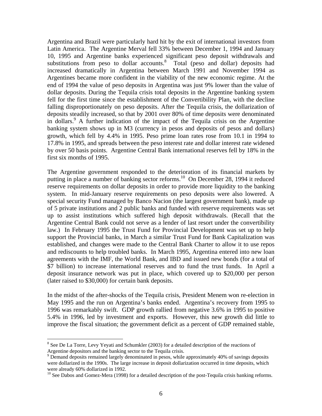Argentina and Brazil were particularly hard hit by the exit of international investors from Latin America. The Argentine Merval fell 33% between December 1, 1994 and January 10, 1995 and Argentine banks experienced significant peso deposit withdrawals and substitutions from peso to dollar accounts. $8$  Total (peso and dollar) deposits had increased dramatically in Argentina between March 1991 and November 1994 as Argentines became more confident in the viability of the new economic regime. At the end of 1994 the value of peso deposits in Argentina was just 9% lower than the value of dollar deposits. During the Tequila crisis total deposits in the Argentine banking system fell for the first time since the establishment of the Convertibility Plan, with the decline falling disproportionately on peso deposits. After the Tequila crisis, the dollarization of deposits steadily increased, so that by 2001 over 80% of time deposits were denominated in dollars.<sup>9</sup> A further indication of the impact of the Tequila crisis on the Argentine banking system shows up in M3 (currency in pesos and deposits of pesos and dollars) growth, which fell by 4.4% in 1995. Peso prime loan rates rose from 10.1 in 1994 to 17.8% in 1995, and spreads between the peso interest rate and dollar interest rate widened by over 50 basis points. Argentine Central Bank international reserves fell by 18% in the first six months of 1995.

The Argentine government responded to the deterioration of its financial markets by putting in place a number of banking sector reforms.<sup>10</sup> On December 28, 1994 it reduced reserve requirements on dollar deposits in order to provide more liquidity to the banking system. In mid-January reserve requirements on peso deposits were also lowered. A special security Fund managed by Banco Nacion (the largest government bank), made up of 5 private institutions and 2 public banks and funded with reserve requirements was set up to assist institutions which suffered high deposit withdrawals. (Recall that the Argentine Central Bank could not serve as a lender of last resort under the convertibility law.) In February 1995 the Trust Fund for Provincial Development was set up to help support the Provincial banks, in March a similar Trust Fund for Bank Capitalization was established, and changes were made to the Central Bank Charter to allow it to use repos and rediscounts to help troubled banks. In March 1995, Argentina entered into new loan agreements with the IMF, the World Bank, and IBD and issued new bonds (for a total of \$7 billion) to increase international reserves and to fund the trust funds. In April a deposit insurance network was put in place, which covered up to \$20,000 per person (later raised to \$30,000) for certain bank deposits.

In the midst of the after-shocks of the Tequila crisis, President Menem won re-election in May 1995 and the run on Argentina's banks ended. Argentina's recovery from 1995 to 1996 was remarkably swift. GDP growth rallied from negative 3.6% in 1995 to positive 5.4% in 1996, led by investment and exports. However, this new growth did little to improve the fiscal situation; the government deficit as a percent of GDP remained stable,

 $\overline{a}$ 

<span id="page-7-0"></span><sup>&</sup>lt;sup>8</sup> See De La Torre, Levy Yeyati and Schumkler (2003) for a detailed description of the reactions of

<span id="page-7-1"></span>Argentine depositors and the banking sector to the Tequila crisis.<br><sup>9</sup> Demand deposits remained largely denominated in pesos, while approximately 40% of savings deposits were dollarized in the 1990s. The large increase in deposit dollarization occurred in time deposits, which

<span id="page-7-2"></span> $10$  See Dabos and Gomez-Mera (1998) for a detailed description of the post-Tequila crisis banking reforms.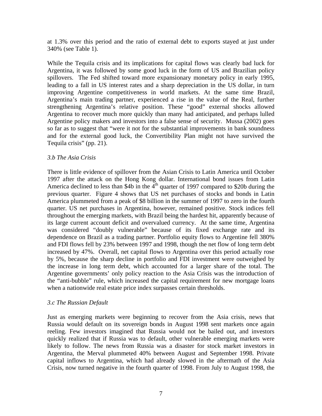at 1.3% over this period and the ratio of external debt to exports stayed at just under 340% (see Table 1).

While the Tequila crisis and its implications for capital flows was clearly bad luck for Argentina, it was followed by some good luck in the form of US and Brazilian policy spillovers. The Fed shifted toward more expansionary monetary policy in early 1995, leading to a fall in US interest rates and a sharp depreciation in the US dollar, in turn improving Argentine competitiveness in world markets. At the same time Brazil, Argentina's main trading partner, experienced a rise in the value of the Real, further strengthening Argentina's relative position. These "good" external shocks allowed Argentina to recover much more quickly than many had anticipated, and perhaps lulled Argentine policy makers and investors into a false sense of security. Mussa (2002) goes so far as to suggest that "were it not for the substantial improvements in bank soundness and for the external good luck, the Convertibility Plan might not have survived the Tequila crisis" (pp. 21).

#### *3.b The Asia Crisis*

There is little evidence of spillover from the Asian Crisis to Latin America until October 1997 after the attack on the Hong Kong dollar. International bond issues from Latin America declined to less than \$4b in the  $4<sup>th</sup>$  quarter of 1997 compared to \$20b during the previous quarter. Figure 4 shows that US net purchases of stocks and bonds in Latin America plummeted from a peak of \$8 billion in the summer of 1997 to zero in the fourth quarter. US net purchases in Argentina, however, remained positive. Stock indices fell throughout the emerging markets, with Brazil being the hardest hit, apparently because of its large current account deficit and overvalued currency. At the same time, Argentina was considered "doubly vulnerable" because of its fixed exchange rate and its dependence on Brazil as a trading partner. Portfolio equity flows to Argentine fell 380% and FDI flows fell by 23% between 1997 and 1998, though the net flow of long term debt increased by 47%. Overall, net capital flows to Argentina over this period actually rose by 5%, because the sharp decline in portfolio and FDI investment were outweighed by the increase in long term debt, which accounted for a larger share of the total. The Argentine governments' only policy reaction to the Asia Crisis was the introduction of the "anti-bubble" rule, which increased the capital requirement for new mortgage loans when a nationwide real estate price index surpasses certain thresholds.

#### *3.c The Russian Default*

Just as emerging markets were beginning to recover from the Asia crisis, news that Russia would default on its sovereign bonds in August 1998 sent markets once again reeling. Few investors imagined that Russia would not be bailed out, and investors quickly realized that if Russia was to default, other vulnerable emerging markets were likely to follow. The news from Russia was a disaster for stock market investors in Argentina, the Merval plummeted 40% between August and September 1998. Private capital inflows to Argentina, which had already slowed in the aftermath of the Asia Crisis, now turned negative in the fourth quarter of 1998. From July to August 1998, the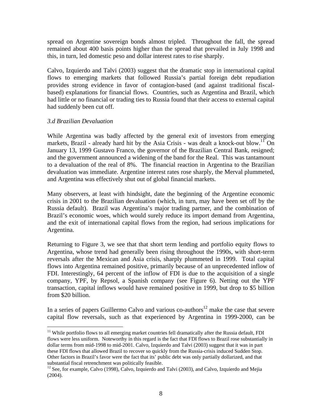spread on Argentine sovereign bonds almost tripled. Throughout the fall, the spread remained about 400 basis points higher than the spread that prevailed in July 1998 and this, in turn, led domestic peso and dollar interest rates to rise sharply.

Calvo, Izquierdo and Talvi (2003) suggest that the dramatic stop in international capital flows to emerging markets that followed Russia's partial foreign debt repudiation provides strong evidence in favor of contagion-based (and against traditional fiscalbased) explanations for financial flows. Countries, such as Argentina and Brazil, which had little or no financial or trading ties to Russia found that their access to external capital had suddenly been cut off.

#### *3.d Brazilian Devaluation*

 $\overline{a}$ 

While Argentina was badly affected by the general exit of investors from emerging markets, Brazil - already hard hit by the Asia Crisis - was dealt a knock-out blow.<sup>11</sup> On January 13, 1999 Gustavo Franco, the governor of the Brazilian Central Bank, resigned; and the government announced a widening of the band for the Real. This was tantamount to a devaluation of the real of 8%. The financial reaction in Argentina to the Brazilian devaluation was immediate. Argentine interest rates rose sharply, the Merval plummeted, and Argentina was effectively shut out of global financial markets.

Many observers, at least with hindsight, date the beginning of the Argentine economic crisis in 2001 to the Brazilian devaluation (which, in turn, may have been set off by the Russia default). Brazil was Argentina's major trading partner, and the combination of Brazil's economic woes, which would surely reduce its import demand from Argentina, and the exit of international capital flows from the region, had serious implications for Argentina.

Returning to Figure 3, we see that that short term lending and portfolio equity flows to Argentina, whose trend had generally been rising throughout the 1990s, with short-term reversals after the Mexican and Asia crisis, sharply plummeted in 1999. Total capital flows into Argentina remained positive, primarily because of an unprecedented inflow of FDI. Interestingly, 64 percent of the inflow of FDI is due to the acquisition of a single company, YPF, by Repsol, a Spanish company (see Figure 6). Netting out the YPF transaction, capital inflows would have remained positive in 1999, but drop to \$5 billion from \$20 billion.

In a series of papers Guillermo Calvo and various co-authors<sup>12</sup> make the case that severe capital flow reversals, such as that experienced by Argentina in 1999-2000, can be

<span id="page-9-0"></span><sup>&</sup>lt;sup>11</sup> While portfolio flows to all emerging market countries fell dramatically after the Russia default, FDI flows were less uniform. Noteworthy in this regard is the fact that FDI flows to Brazil rose substantially in dollar terms from mid-1998 to mid-2001. Calvo, Izquierdo and Talvi (2003) suggest that it was in part these FDI flows that allowed Brazil to recover so quickly from the Russia-crisis induced Sudden Stop. Other factors in Brazil's favor were the fact that its' public debt was only partially dollarized, and that

<span id="page-9-1"></span>substantial fiscal retrenchment was politically feasible.<br><sup>12</sup> See, for example, Calvo (1998), Calvo, Izquierdo and Talvi (2003), and Calvo, Izquierdo and Mejia (2004).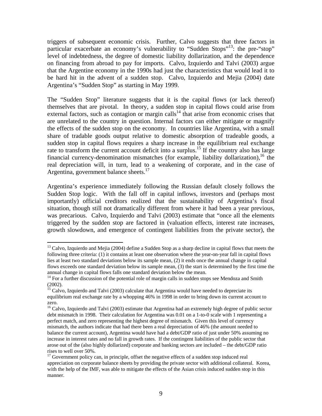triggers of subsequent economic crisis. Further, Calvo suggests that three factors in particular exacerbate an economy's vulnerability to "Sudden Stops"<sup>13</sup>: the pre-"stop" level of indebtedness, the degree of domestic liability dollarization, and the dependence on financing from abroad to pay for imports. Calvo, Izquierdo and Talvi (2003) argue that the Argentine economy in the 1990s had just the characteristics that would lead it to be hard hit in the advent of a sudden stop. Calvo, Izquierdo and Mejia (2004) date Argentina's "Sudden Stop" as starting in May 1999.

The "Sudden Stop" literature suggests that it is the capital flows (or lack thereof) themselves that are pivotal. In theory, a sudden stop in capital flows could arise from external factors, such as contagion or margin calls<sup>14</sup> that arise from economic crises that are unrelated to the country in question. Internal factors can either mitigate or magnify the effects of the sudden stop on the economy. In countries like Argentina, with a small share of tradable goods output relative to domestic absorption of tradeable goods, a sudden stop in capital flows requires a sharp increase in the equilibrium real exchange rate to transform the current account deficit into a surplus.<sup>15</sup> If the country also has large financial currency-denomination mismatches (for example, liability dollarization),<sup>16</sup> the real depreciation will, in turn, lead to a weakening of corporate, and in the case of Argentina, government balance sheets. $^{17}$ 

Argentina's experience immediately following the Russian default closely follows the Sudden Stop logic. With the fall off in capital inflows, investors and (perhaps most importantly) official creditors realized that the sustainability of Argentina's fiscal situation, though still not dramatically different from where it had been a year previous, was precarious. Calvo, Izquierdo and Talvi (2003) estimate that "once all the elements triggered by the sudden stop are factored in (valuation effects, interest rate increases, growth slowdown, and emergence of contingent liabilities from the private sector), the

1

<span id="page-10-0"></span><sup>&</sup>lt;sup>13</sup> Calvo, Izquierdo and Mejia (2004) define a Sudden Stop as a sharp decline in capital flows that meets the following three criteria: (1) it contains at least one observation where the year-on-year fall in capital flows lies at least two standard deviations below its sample mean, (2) it ends once the annual change in capital flows exceeds one standard deviation below its sample mean, (3) the start is determined by the first time the annual change in capital flows falls one standard deviation below the mean.<br><sup>14</sup> For a further discussion of the potential role of margin calls in sudden stops see Mendoza and Smith

<span id="page-10-1"></span><sup>(2002). 15</sup> Calvo, Izquierdo and Talvi (2003) calculate that Argentina would have needed to depreciate its

<span id="page-10-2"></span>equilibrium real exchange rate by a whopping 46% in 1998 in order to bring down its current account to zero.

<span id="page-10-3"></span><sup>&</sup>lt;sup>16</sup> Calvo, Izquierdo and Talvi (2003) estimate that Argentina had an extremely high degree of public sector debt mismatch in 1998. Their calculation for Argentina was 0.01 on a 1-to-0 scale with 1 representing a perfect match, and zero representing the highest degree of mismatch. Given this level of currency mismatch, the authors indicate that had there been a real depreciation of 46% (the amount needed to balance the current account), Argentina would have had a debt/GDP ratio of just under 50% assuming no increase in interest rates and no fall in growth rates. If the contingent liabilities of the public sector that arose out of the (also highly dollarized) corporate and banking sectors are included – the debt/GDP ratio rises to well over 50%. 17 Government policy can, in principle, offset the negative effects of a sudden stop induced real

<span id="page-10-4"></span>appreciation on corporate balance sheets by providing the private sector with additional collateral. Korea, with the help of the IMF, was able to mitigate the effects of the Asian crisis induced sudden stop in this manner.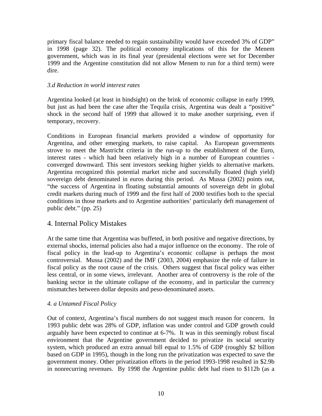primary fiscal balance needed to regain sustainability would have exceeded 3% of GDP" in 1998 (page 32). The political economy implications of this for the Menem government, which was in its final year (presidental elections were set for December 1999 and the Argentine constitution did not allow Menem to run for a third term) were dire.

#### *3.d Reduction in world interest rates*

Argentina looked (at least in hindsight) on the brink of economic collapse in early 1999, but just as had been the case after the Tequila crisis, Argentina was dealt a "positive" shock in the second half of 1999 that allowed it to make another surprising, even if temporary, recovery.

Conditions in European financial markets provided a window of opportunity for Argentina, and other emerging markets, to raise capital. As European governments strove to meet the Mastricht criteria in the run-up to the establishment of the Euro, interest rates - which had been relatively high in a number of European countries converged downward. This sent investors seeking higher yields to alternative markets. Argentina recognized this potential market niche and successfully floated (high yield) sovereign debt denominated in euros during this period. As Mussa (2002) points out, "the success of Argentina in floating substantial amounts of sovereign debt in global credit markets during much of 1999 and the first half of 2000 testifies both to the special conditions in those markets and to Argentine authorities' particularly deft management of public debt." (pp. 25)

#### 4. Internal Policy Mistakes

At the same time that Argentina was buffeted, in both positive and negative directions, by external shocks, internal policies also had a major influence on the economy. The role of fiscal policy in the lead-up to Argentina's economic collapse is perhaps the most controversial. Mussa (2002) and the IMF (2003, 2004) emphasize the role of failure in fiscal policy as the root cause of the crisis. Others suggest that fiscal policy was either less central, or in some views, irrelevant. Another area of controversy is the role of the banking sector in the ultimate collapse of the economy, and in particular the currency mismatches between dollar deposits and peso-denominated assets.

#### *4. a Untamed Fiscal Policy*

Out of context, Argentina's fiscal numbers do not suggest much reason for concern. In 1993 public debt was 28% of GDP, inflation was under control and GDP growth could arguably have been expected to continue at 6-7%. It was in this seemingly robust fiscal environment that the Argentine government decided to privatize its social security system, which produced an extra annual bill equal to 1.5% of GDP (roughly \$2 billion based on GDP in 1995), though in the long run the privatization was expected to save the government money. Other privatization efforts in the period 1993-1998 resulted in \$2.9b in nonrecurring revenues. By 1998 the Argentine public debt had risen to \$112b (as a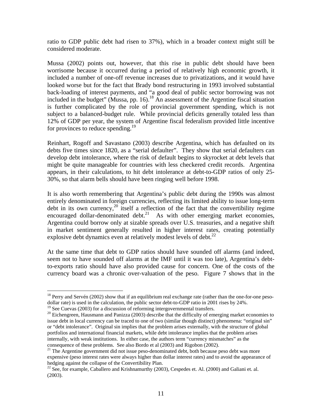ratio to GDP public debt had risen to 37%), which in a broader context might still be considered moderate.

Mussa (2002) points out, however, that this rise in public debt should have been worrisome because it occurred during a period of relatively high economic growth, it included a number of one-off revenue increases due to privatizations, and it would have looked worse but for the fact that Brady bond restructuring in 1993 involved substantial back-loading of interest payments, and "a good deal of public sector borrowing was not included in the budget" (Mussa, pp. 16).<sup>18</sup> An assessment of the Argentine fiscal situation is further complicated by the role of provincial government spending, which is not subject to a balanced-budget rule. While provincial deficits generally totaled less than 12% of GDP per year, the system of Argentine fiscal federalism provided little incentive for provinces to reduce spending.<sup>19</sup>

Reinhart, Rogoff and Savastano (2003) describe Argentina, which has defaulted on its debts five times since 1820, as a "serial defaulter". They show that serial defaulters can develop debt intolerance, where the risk of default begins to skyrocket at debt levels that might be quite manageable for countries with less checkered credit records. Argentina appears, in their calculations, to hit debt intolerance at debt-to-GDP ratios of only 25- 30%, so that alarm bells should have been ringing well before 1998.

It is also worth remembering that Argentina's public debt during the 1990s was almost entirely denominated in foreign currencies, reflecting its limited ability to issue long-term debt in its own currency,<sup>20</sup> itself a reflection of the fact that the convertibility regime encouraged dollar-denominated debt.<sup>21</sup> As with other emerging market economies, Argentina could borrow only at sizable spreads over U.S. treasuries, and a negative shift in market sentiment generally resulted in higher interest rates, creating potentially explosive debt dynamics even at relatively modest levels of debt.<sup>[22](#page-12-4)</sup>

At the same time that debt to GDP ratios should have sounded off alarms (and indeed, seem not to have sounded off alarms at the IMF until it was too late), Argentina's debtto-exports ratio should have also provided cause for concern. One of the costs of the currency board was a chronic over-valuation of the peso. Figure 7 shows that in the

 $\overline{a}$ 

<span id="page-12-0"></span> $18$  Perry and Servén (2002) show that if an equilibrium real exchange rate (rather than the one-for-one pesodollar rate) is used in the calculation, the public sector debt-to-GDP ratio in 2001 rises by 24%.<br><sup>19</sup> See Cuevas (2003) for a discussion of reforming intergovernmental transfers.

<span id="page-12-1"></span>

<span id="page-12-2"></span> $20$  Eichengreen, Hausmann and Panizza (2003) describe that the difficulty of emerging market economies to issue debt in local currency can be traced to one of two (similar though distinct) phenomena: "original sin" or "debt intolerance". Original sin implies that the problem arises externally, with the structure of global portfolios and international financial markets, while debt intolerance implies that the problem arises internally, with weak institutions. In either case, the authors term "currency mismatches" as the consequence of these problems. See also Bordo et al (2003) and Rigobon (2002). 21 The Argentine government did not issue peso-denominated debt, both because peso debt was more

<span id="page-12-3"></span>expensive (peso interest rates were always higher than dollar interest rates) and to avoid the appearance of hedging against the collapse of the Convertibility Plan.

<span id="page-12-4"></span><sup>&</sup>lt;sup>22</sup> See, for example, Caballero and Krishnamurthy (2003), Cespedes et. Al. (2000) and Galiani et. al. (2003).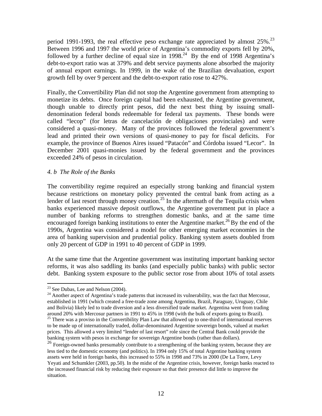period 1991-1993, the real effective peso exchange rate appreciated by almost  $25\%$ <sup>23</sup> Between 1996 and 1997 the world price of Argentina's commodity exports fell by 20%, followed by a further decline of equal size in  $1998<sup>24</sup>$  By the end of 1998 Argentina's debt-to-export ratio was at 379% and debt service payments alone absorbed the majority of annual export earnings. In 1999, in the wake of the Brazilian devaluation, export growth fell by over 9 percent and the debt-to-export ratio rose to 427%.

Finally, the Convertibility Plan did not stop the Argentine government from attempting to monetize its debts. Once foreign capital had been exhausted, the Argentine government, though unable to directly print pesos, did the next best thing by issuing smalldenomination federal bonds redeemable for federal tax payments. These bonds were called "lecop" (for letras de cancelación de obligaciones provinciales) and were considered a quasi-money. Many of the provinces followed the federal government's lead and printed their own versions of quasi-money to pay for fiscal deficits. For example, the province of Buenos Aires issued "Patacón" and Córdoba issued "Lecor". In December 2001 quasi-monies issued by the federal government and the provinces exceeded 24% of pesos in circulation.

#### *4. b The Role of the Banks*

The convertibility regime required an especially strong banking and financial system because restrictions on monetary policy prevented the central bank from acting as a lender of last resort through money creation.<sup>25</sup> In the aftermath of the Tequila crisis when banks experienced massive deposit outflows, the Argentine government put in place a number of banking reforms to strengthen domestic banks, and at the same time encouraged foreign banking institutions to enter the Argentine market.<sup>26</sup> By the end of the 1990s, Argentina was considered a model for other emerging market economies in the area of banking supervision and prudential policy. Banking system assets doubled from only 20 percent of GDP in 1991 to 40 percent of GDP in 1999.

At the same time that the Argentine government was instituting important banking sector reforms, it was also saddling its banks (and especially public banks) with public sector debt. Banking system exposure to the public sector rose from about 10% of total assets

<span id="page-13-0"></span><sup>&</sup>lt;sup>23</sup> See Dubas, Lee and Nelson (2004).

<span id="page-13-1"></span> $^{24}$  Another aspect of Argentina's trade patterns that increased its vulnerability, was the fact that Mercosur, established in 1991 (which created a free-trade zone among Argentina, Brazil, Paraguay, Uruguay, Chile and Bolivia) likely led to trade diversion and a less diversified trade market. Argentina went from trading around 20% with Mercosur partners in 1991 to 45% in 1998 (with the bulk of exports going to Brazil).

<span id="page-13-2"></span> $25$  There was a proviso in the Convertibility Plan Law that allowed up to one-third of international reserves to be made up of internationally traded, dollar-denominated Argentine sovereign bonds, valued at market prices. This allowed a very limited "lender of last resort" role since the Central Bank could provide the banking system with pesos in exchange for sovereign Argentine bonds (rather than dollars).

<span id="page-13-3"></span> $\frac{26}{26}$  Foreign-owned banks presumably contribute to a strengthening of the banking system, because they are less tied to the domestic economy (and politics). In 1994 only 15% of total Argentine banking system assets were held in foreign banks, this increased to 55% in 1998 and 73% in 2000 (De La Torre, Levy Yeyati and Schumkler (2003, pp.50). In the midst of the Argentine crisis, however, foreign banks reacted to the increased financial risk by reducing their exposure so that their presence did little to improve the situation.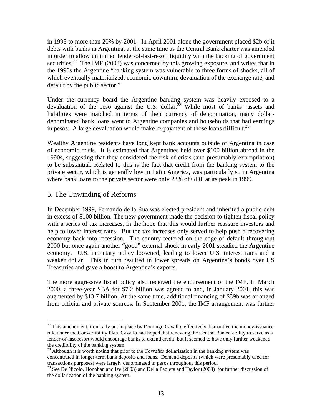in 1995 to more than 20% by 2001. In April 2001 alone the government placed \$2b of it debts with banks in Argentina, at the same time as the Central Bank charter was amended in order to allow unlimited lender-of-last-resort liquidity with the backing of government securities.<sup>27</sup> The IMF (2003) was concerned by this growing exposure, and writes that in the 1990s the Argentine "banking system was vulnerable to three forms of shocks, all of which eventually materialized: economic downturn, devaluation of the exchange rate, and default by the public sector."

Under the currency board the Argentine banking system was heavily exposed to a devaluation of the peso against the U.S. dollar.<sup>28</sup> While most of banks' assets and liabilities were matched in terms of their currency of denomination, many dollardenominated bank loans went to Argentine companies and households that had earnings in pesos. A large devaluation would make re-payment of those loans difficult.<sup>29</sup>

Wealthy Argentine residents have long kept bank accounts outside of Argentina in case of economic crisis. It is estimated that Argentines held over \$100 billion abroad in the 1990s, suggesting that they considered the risk of crisis (and presumably expropriation) to be substantial. Related to this is the fact that credit from the banking system to the private sector, which is generally low in Latin America, was particularly so in Argentina where bank loans to the private sector were only 23% of GDP at its peak in 1999.

#### 5. The Unwinding of Reforms

 $\overline{a}$ 

In December 1999, Fernando de la Rua was elected president and inherited a public debt in excess of \$100 billion. The new government made the decision to tighten fiscal policy with a series of tax increases, in the hope that this would further reassure investors and help to lower interest rates. But the tax increases only served to help push a recovering economy back into recession. The country teetered on the edge of default throughout 2000 but once again another "good" external shock in early 2001 steadied the Argentine economy. U.S. monetary policy loosened, leading to lower U.S. interest rates and a weaker dollar. This in turn resulted in lower spreads on Argentina's bonds over US Treasuries and gave a boost to Argentina's exports.

The more aggressive fiscal policy also received the endorsement of the IMF. In March 2000, a three-year SBA for \$7.2 billion was agreed to and, in January 2001, this was augmented by \$13.7 billion. At the same time, additional financing of \$39b was arranged from official and private sources. In September 2001, the IMF arrangement was further

<span id="page-14-0"></span> $27$  This amendment, ironically put in place by Domingo Cavallo, effectively dismantled the money-issuance rule under the Convertibility Plan. Cavallo had hoped that renewing the Central Banks' ability to serve as a lender-of-last-resort would encourage banks to extend credit, but it seemed to have only further weakened

<span id="page-14-1"></span>the credibility of the banking system. 28 Although it is worth noting that prior to the *Corralito* dollarization in the banking system was concentrated in longer-term bank deposits and loans. Demand deposits (which were presumably used for transactions purposes) were largely denominated in pesos throughout this period.<br><sup>29</sup> See De Nicolo, Honohan and Ize (2003) and Della Paolera and Taylor (2003) for further discussion of

<span id="page-14-2"></span>the dollarization of the banking system.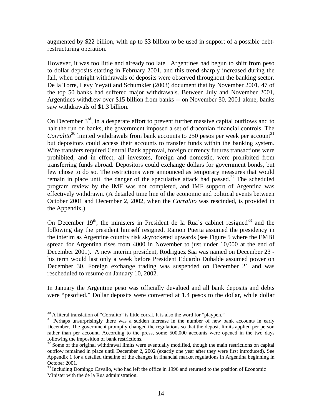augmented by \$22 billion, with up to \$3 billion to be used in support of a possible debtrestructuring operation.

However, it was too little and already too late. Argentines had begun to shift from peso to dollar deposits starting in February 2001, and this trend sharply increased during the fall, when outright withdrawals of deposits were observed throughout the banking sector. De la Torre, Levy Yeyati and Schumkler (2003) document that by November 2001, 47 of the top 50 banks had suffered major withdrawals. Between July and November 2001, Argentines withdrew over \$15 billion from banks -- on November 30, 2001 alone, banks saw withdrawals of \$1.3 billion.

On December  $3<sup>rd</sup>$ , in a desperate effort to prevent further massive capital outflows and to halt the run on banks, the government imposed a set of draconian financial controls. The *Corralito*<sup>30</sup> limited withdrawals from bank accounts to 250 pesos per week per account<sup>31</sup> but depositors could access their accounts to transfer funds within the banking system. Wire transfers required Central Bank approval, foreign currency futures transactions were prohibited, and in effect, all investors, foreign and domestic, were prohibited from transferring funds abroad. Depositors could exchange dollars for government bonds, but few chose to do so. The restrictions were announced as temporary measures that would remain in place until the danger of the speculative attack had passed.<sup>32</sup> The scheduled program review by the IMF was not completed, and IMF support of Argentina was effectively withdrawn. (A detailed time line of the economic and political events between October 2001 and December 2, 2002, when the *Corralito* was rescinded, is provided in the Appendix.)

On December  $19<sup>th</sup>$ , the ministers in President de la Rua's cabinet resigned<sup>33</sup> and the following day the president himself resigned. Ramon Puerta assumed the presidency in the interim as Argentine country risk skyrocketed upwards (see Figure 5 where the EMBI spread for Argentina rises from 4000 in November to just under 10,000 at the end of December 2001). A new interim president, Rodriguez Saa was named on December 23 his term would last only a week before President Eduardo Duhalde assumed power on December 30. Foreign exchange trading was suspended on December 21 and was rescheduled to resume on January 10, 2002.

In January the Argentine peso was officially devalued and all bank deposits and debts were "pesofied." Dollar deposits were converted at 1.4 pesos to the dollar, while dollar

1

<span id="page-15-1"></span><span id="page-15-0"></span>

 $30$  A literal translation of "Corralito" is little corral. It is also the word for "playpen." Perhaps unsurprisingly there was a sudden increase in the number of new bank accounts in early December. The government promptly changed the regulations so that the deposit limits applied per person rather than per account. According to the press, some 500,000 accounts were opened in the two days following the imposition of bank restrictions.<br><sup>32</sup> Some of the original withdrawal limits were eventually modified, though the main restrictions on capital

<span id="page-15-2"></span>outflow remained in place until December 2, 2002 (exactly one year after they were first introduced). See Appendix 1 for a detailed timeline of the changes in financial market regulations in Argentina beginning in October 2001.<br><sup>33</sup> Including Domingo Cavallo, who had left the office in 1996 and returned to the position of Economic

<span id="page-15-3"></span>Minister with the de la Rua administration.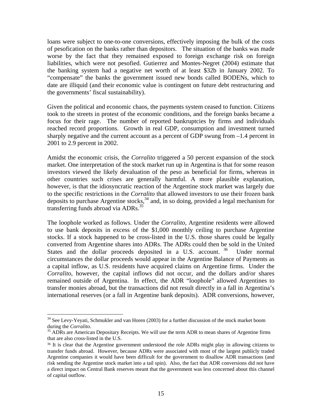loans were subject to one-to-one conversions, effectively imposing the bulk of the costs of pesofication on the banks rather than depositors. The situation of the banks was made worse by the fact that they remained exposed to foreign exchange risk on foreign liabilities, which were not pesofied. Gutierrez and Montes-Negret (2004) estimate that the banking system had a negative net worth of at least \$32b in January 2002. To "compensate" the banks the government issued new bonds called BODENs, which to date are illiquid (and their economic value is contingent on future debt restructuring and the governments' fiscal sustainability).

Given the political and economic chaos, the payments system ceased to function. Citizens took to the streets in protest of the economic conditions, and the foreign banks became a focus for their rage. The number of reported bankruptcies by firms and individuals reached record proportions. Growth in real GDP, consumption and investment turned sharply negative and the current account as a percent of GDP swung from –1.4 percent in 2001 to 2.9 percent in 2002.

Amidst the economic crisis, the *Corralito* triggered a 50 percent expansion of the stock market. One interpretation of the stock market run up in Argentina is that for some reason investors viewed the likely devaluation of the peso as beneficial for firms, whereas in other countries such crises are generally harmful. A more plausible explanation, however, is that the idiosyncratic reaction of the Argentine stock market was largely due to the specific restrictions in the *Corralito* that allowed investors to use their frozen bank deposits to purchase Argentine stocks,  $34$  and, in so doing, provided a legal mechanism for transferring funds abroad via ADRs.<sup>[35](#page-16-1)</sup>

The loophole worked as follows. Under the *Corralito*, Argentine residents were allowed to use bank deposits in excess of the \$1,000 monthly ceiling to purchase Argentine stocks. If a stock happened to be cross-listed in the U.S. those shares could be legally converted from Argentine shares into ADRs. The ADRs could then be sold in the United States and the dollar proceeds deposited in a U.S. account. <sup>36</sup> Under normal circumstances the dollar proceeds would appear in the Argentine Balance of Payments as a capital inflow, as U.S. residents have acquired claims on Argentine firms. Under the *Corralito,* however, the capital inflows did not occur, and the dollars and/or shares remained outside of Argentina. In effect, the ADR "loophole" allowed Argentines to transfer monies abroad, but the transactions did not result directly in a fall in Argentina's international reserves (or a fall in Argentine bank deposits). ADR conversions, however,

 $\overline{a}$ 

<span id="page-16-0"></span> $34$  See Levy-Yeyati, Schmukler and van Horen (2003) for a further discussion of the stock market boom during the *Corralito*.

<span id="page-16-1"></span><sup>&</sup>lt;sup>35</sup> ADRs are American Depositary Receipts. We will use the term ADR to mean shares of Argentine firms that are also cross-listed in the U.S.

<span id="page-16-2"></span><sup>&</sup>lt;sup>36</sup> It is clear that the Argentine government understood the role ADRs might play in allowing citizens to transfer funds abroad. However, because ADRs were associated with most of the largest publicly traded Argentine companies it would have been difficult for the government to disallow ADR transactions (and risk sending the Argentine stock market into a tail spin). Also, the fact that ADR conversions did not have a direct impact on Central Bank reserves meant that the government was less concerned about this channel of capital outflow.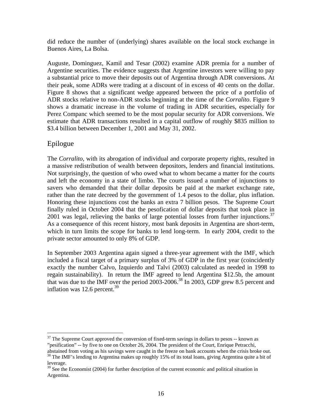did reduce the number of (underlying) shares available on the local stock exchange in Buenos Aires, La Bolsa.

Auguste, Dominguez, Kamil and Tesar (2002) examine ADR premia for a number of Argentine securities. The evidence suggests that Argentine investors were willing to pay a substantial price to move their deposits out of Argentina through ADR conversions. At their peak, some ADRs were trading at a discount of in excess of 40 cents on the dollar. Figure 8 shows that a significant wedge appeared between the price of a portfolio of ADR stocks relative to non-ADR stocks beginning at the time of the *Corralito*. Figure 9 shows a dramatic increase in the volume of trading in ADR securities, especially for Perez Companc which seemed to be the most popular security for ADR conversions. We estimate that ADR transactions resulted in a capital outflow of roughly \$835 million to \$3.4 billion between December 1, 2001 and May 31, 2002.

### Epilogue

The *Corralito*, with its abrogation of individual and corporate property rights, resulted in a massive redistribution of wealth between depositors, lenders and financial institutions. Not surprisingly, the question of who owed what to whom became a matter for the courts and left the economy in a state of limbo. The courts issued a number of injunctions to savers who demanded that their dollar deposits be paid at the market exchange rate, rather than the rate decreed by the government of 1.4 pesos to the dollar, plus inflation. Honoring these injunctions cost the banks an extra 7 billion pesos. The Supreme Court finally ruled in October 2004 that the pesofication of dollar deposits that took place in 2001 was legal, relieving the banks of large potential losses from further injunctions.<sup>37</sup> As a consequence of this recent history, most bank deposits in Argentina are short-term, which in turn limits the scope for banks to lend long-term. In early 2004, credit to the private sector amounted to only 8% of GDP.

In September 2003 Argentina again signed a three-year agreement with the IMF, which included a fiscal target of a primary surplus of 3% of GDP in the first year (coincidently exactly the number Calvo, Izquierdo and Talvi (2003) calculated as needed in 1998 to regain sustainability). In return the IMF agreed to lend Argentina \$12.5b, the amount that was due to the IMF over the period 2003-2006.<sup>38</sup> In 2003, GDP grew 8.5 percent and inflation was  $12.6$  percent.<sup>39</sup>

<span id="page-17-0"></span> $\overline{a}$  $37$  The Supreme Court approved the conversion of fixed-term savings in dollars to pesos  $-$  known as "pesification" -- by five to one on October 26, 2004. The president of the Court, Enrique Petracchi,

<span id="page-17-1"></span><sup>&</sup>lt;sup>38</sup> The IMF's lending to Argentina makes up roughly 15% of its total loans, giving Argentina quite a bit of leverage.

<span id="page-17-2"></span><sup>&</sup>lt;sup>39</sup> See the Economist (2004) for further description of the current economic and political situation in Argentina.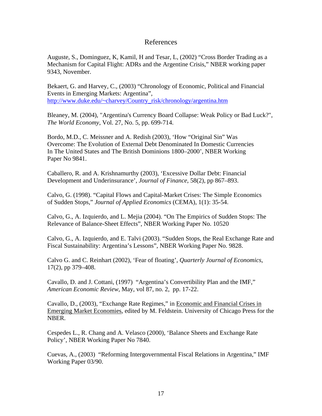#### References

Auguste, S., Dominguez, K, Kamil, H and Tesar, L, (2002) "Cross Border Trading as a Mechanism for Capital Flight: ADRs and the Argentine Crisis," NBER working paper 9343, November.

Bekaert, G. and Harvey, C., (2003) "Chronology of Economic, Political and Financial Events in Emerging Markets: Argentina", [http://www.duke.edu/~charvey/Country\\_risk/chronology/argentina.htm](http://www.duke.edu/~charvey/Country_risk/chronology/argentina.htm)

Bleaney, M. (2004), "Argentina's Currency Board Collapse: Weak Policy or Bad Luck?", *The World Economy*, Vol. 27, No. 5, pp. 699-714.

Bordo, M.D., C. Meissner and A. Redish (2003), 'How "Original Sin" Was Overcome: The Evolution of External Debt Denominated In Domestic Currencies In The United States and The British Dominions 1800–2000', NBER Working Paper No 9841.

Caballero, R. and A. Krishnamurthy (2003), 'Excessive Dollar Debt: Financial Development and Underinsurance', *Journal of Finance*, 58(2), pp 867–893.

Calvo, G. (1998). "Capital Flows and Capital-Market Crises: The Simple Economics of Sudden Stops," *Journal of Applied Economics* (CEMA), 1(1): 35-54.

Calvo, G., A. Izquierdo, and L. Mejia (2004). "On The Empirics of Sudden Stops: The Relevance of Balance-Sheet Effects", NBER Working Paper No. 10520

Calvo, G., A. Izquierdo, and E. Talvi (2003). "Sudden Stops, the Real Exchange Rate and Fiscal Sustainability: Argentina's Lessons", NBER Working Paper No. 9828.

Calvo G. and C. Reinhart (2002), 'Fear of floating', *Quarterly Journal of Economics*, 17(2), pp 379–408.

Cavallo, D. and J. Cottani, (1997) "Argentina's Convertibility Plan and the IMF," *American Economic Review*, May, vol 87, no. 2, pp. 17-22.

Cavallo, D., (2003), "Exchange Rate Regimes," in Economic and Financial Crises in Emerging Market Economies, edited by M. Feldstein. University of Chicago Press for the NBER.

Cespedes L., R. Chang and A. Velasco (2000), 'Balance Sheets and Exchange Rate Policy', NBER Working Paper No 7840.

Cuevas, A., (2003) "Reforming Intergovernmental Fiscal Relations in Argentina," IMF Working Paper 03/90.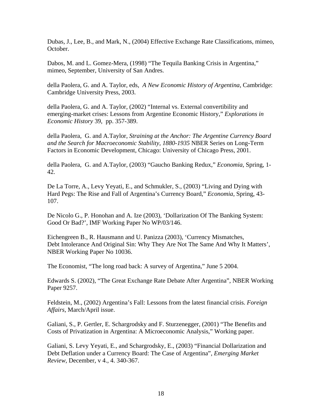Dubas, J., Lee, B., and Mark, N., (2004) Effective Exchange Rate Classifications, mimeo, October.

Dabos, M. and L. Gomez-Mera, (1998) "The Tequila Banking Crisis in Argentina," mimeo, September, University of San Andres.

della Paolera, G. and A. Taylor, eds, *A New Economic History of Argentina*, Cambridge: Cambridge University Press, 2003.

della Paolera, G. and A. Taylor, (2002) "Internal vs. External convertibility and emerging-market crises: Lessons from Argentine Economic History," *Explorations in Economic History* 39, pp. 357-389.

della Paolera, G. and A.Taylor, *Straining at the Anchor: The Argentine Currency Board and the Search for Macroeconomic Stability, 1880-1935* NBER Series on Long-Term Factors in Economic Development, Chicago: University of Chicago Press, 2001.

della Paolera, G. and A.Taylor, (2003) "Gaucho Banking Redux," *Economia*, Spring, 1- 42.

De La Torre, A., Levy Yeyati, E., and Schmukler, S., (2003) "Living and Dying with Hard Pegs: The Rise and Fall of Argentina's Currency Board," *Economia*, Spring, 43- 107.

De Nicolo G., P. Honohan and A. Ize (2003), 'Dollarization Of The Banking System: Good Or Bad?', IMF Working Paper No WP/03/146.

Eichengreen B., R. Hausmann and U. Panizza (2003), 'Currency Mismatches, Debt Intolerance And Original Sin: Why They Are Not The Same And Why It Matters', NBER Working Paper No 10036.

The Economist, "The long road back: A survey of Argentina," June 5 2004.

Edwards S. (2002), "The Great Exchange Rate Debate After Argentina", NBER Working Paper 9257.

Feldstein, M., (2002) Argentina's Fall: Lessons from the latest financial crisis. *Foreign Affairs*, March/April issue.

Galiani, S., P. Gertler, E. Schargrodsky and F. Sturzenegger, (2001) "The Benefits and Costs of Privatization in Argentina: A Microeconomic Analysis," Working paper.

Galiani, S. Levy Yeyati, E., and Schargrodsky, E., (2003) "Financial Dollarization and Debt Deflation under a Currency Board: The Case of Argentina", *Emerging Market Review*, December, v 4., 4. 340-367.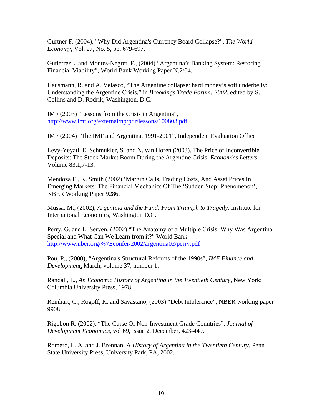Gurtner F. (2004), "Why Did Argentina's Currency Board Collapse?", *The World Economy*, Vol. 27, No. 5, pp. 679-697.

Gutierrez, J and Montes-Negret, F., (2004) "Argentina's Banking System: Restoring Financial Viability", World Bank Working Paper N.2/04.

Hausmann, R. and A. Velasco, "The Argentine collapse: hard money's soft underbelly: Understanding the Argentine Crisis," in *Brookings Trade Forum: 2002*, edited by S. Collins and D. Rodrik, Washington. D.C.

IMF (2003) "Lessons from the Crisis in Argentina", <http://www.imf.org/external/np/pdr/lessons/100803.pdf>

IMF (2004) "The IMF and Argentina, 1991-2001", Independent Evaluation Office

Levy-Yeyati, E, Schmukler, S. and N. van Horen (2003). The Price of Inconvertible Deposits: The Stock Market Boom During the Argentine Crisis. *Economics Letters*. Volume 83,1,7-13.

Mendoza E., K. Smith (2002) 'Margin Calls, Trading Costs, And Asset Prices In Emerging Markets: The Financial Mechanics Of The 'Sudden Stop' Phenomenon', NBER Working Paper 9286.

Mussa, M., (2002), *Argentina and the Fund: From Triumph to Tragedy*. Institute for International Economics, Washington D.C.

Perry, G. and L. Serven, (2002) "The Anatomy of a Multiple Crisis: Why Was Argentina Special and What Can We Learn from it?" World Bank. <http://www.nber.org/%7Econfer/2002/argentina02/perry.pdf>

Pou, P., (2000), "Argentina's Structural Reforms of the 1990s", *IMF Finance and Development*, March, volume 37, number 1.

Randall, L., *An Economic History of Argentina in the Twentieth Century*, New York: Columbia University Press, 1978.

Reinhart, C., Rogoff, K. and Savastano, (2003) "Debt Intolerance", NBER working paper 9908.

Rigobon R. (2002), "The Curse Of Non-Investment Grade Countries", *Journal of Development Economics*, vol 69, issue 2, December, 423-449.

Romero, L. A. and J. Brennan, A *History of Argentina in the Twentieth Century*, Penn State University Press, University Park, PA, 2002.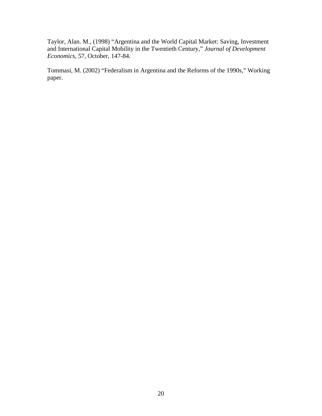Taylor, Alan. M., (1998) "Argentina and the World Capital Market: Saving, Investment and International Capital Mobility in the Twentieth Century," *Journal of Development Economics*, 57, October, 147-84.

Tommasi, M. (2002) "Federalism in Argentina and the Reforms of the 1990s," Working paper.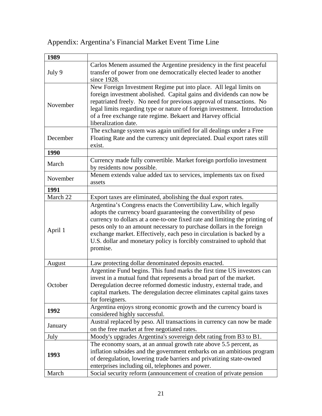# Appendix: Argentina's Financial Market Event Time Line

| 1989     |                                                                                                                                                                                                                                                                                                                                                                                                                                                              |
|----------|--------------------------------------------------------------------------------------------------------------------------------------------------------------------------------------------------------------------------------------------------------------------------------------------------------------------------------------------------------------------------------------------------------------------------------------------------------------|
| July 9   | Carlos Menem assumed the Argentine presidency in the first peaceful<br>transfer of power from one democratically elected leader to another<br>since 1928.                                                                                                                                                                                                                                                                                                    |
| November | New Foreign Investment Regime put into place. All legal limits on<br>foreign investment abolished. Capital gains and dividends can now be<br>repatriated freely. No need for previous approval of transactions. No<br>legal limits regarding type or nature of foreign investment. Introduction<br>of a free exchange rate regime. Bekaert and Harvey official<br>liberalization date.                                                                       |
| December | The exchange system was again unified for all dealings under a Free<br>Floating Rate and the currency unit depreciated. Dual export rates still<br>exist.                                                                                                                                                                                                                                                                                                    |
| 1990     |                                                                                                                                                                                                                                                                                                                                                                                                                                                              |
| March    | Currency made fully convertible. Market foreign portfolio investment<br>by residents now possible.                                                                                                                                                                                                                                                                                                                                                           |
| November | Menem extends value added tax to services, implements tax on fixed<br>assets                                                                                                                                                                                                                                                                                                                                                                                 |
| 1991     |                                                                                                                                                                                                                                                                                                                                                                                                                                                              |
| March 22 | Export taxes are eliminated, abolishing the dual export rates.                                                                                                                                                                                                                                                                                                                                                                                               |
| April 1  | Argentina's Congress enacts the Convertibility Law, which legally<br>adopts the currency board guaranteeing the convertibility of peso<br>currency to dollars at a one-to-one fixed rate and limiting the printing of<br>pesos only to an amount necessary to purchase dollars in the foreign<br>exchange market. Effectively, each peso in circulation is backed by a<br>U.S. dollar and monetary policy is forcibly constrained to uphold that<br>promise. |
| August   | Law protecting dollar denominated deposits enacted.                                                                                                                                                                                                                                                                                                                                                                                                          |
| October  | Argentine Fund begins. This fund marks the first time US investors can<br>invest in a mutual fund that represents a broad part of the market.<br>Deregulation decree reformed domestic industry, external trade, and<br>capital markets. The deregulation decree eliminates capital gains taxes<br>for foreigners.                                                                                                                                           |
| 1992     | Argentina enjoys strong economic growth and the currency board is<br>considered highly successful.                                                                                                                                                                                                                                                                                                                                                           |
| January  | Austral replaced by peso. All transactions in currency can now be made<br>on the free market at free negotiated rates.                                                                                                                                                                                                                                                                                                                                       |
| July     | Moody's upgrades Argentina's sovereign debt rating from B3 to B1.                                                                                                                                                                                                                                                                                                                                                                                            |
| 1993     | The economy soars, at an annual growth rate above 5.5 percent, as<br>inflation subsides and the government embarks on an ambitious program<br>of deregulation, lowering trade barriers and privatizing state-owned<br>enterprises including oil, telephones and power.                                                                                                                                                                                       |
| March    | Social security reform (announcement of creation of private pension                                                                                                                                                                                                                                                                                                                                                                                          |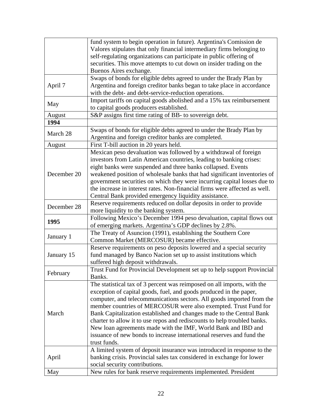|             | fund system to begin operation in future). Argentina's Comission de        |
|-------------|----------------------------------------------------------------------------|
|             | Valores stipulates that only financial intermediary firms belonging to     |
|             | self-regulating organizations can participate in public offering of        |
|             | securities. This move attempts to cut down on insider trading on the       |
|             | Buenos Aires exchange.                                                     |
|             | Swaps of bonds for eligible debts agreed to under the Brady Plan by        |
|             | Argentina and foreign creditor banks began to take place in accordance     |
| April 7     |                                                                            |
|             | with the debt- and debt-service-reduction operations.                      |
| May         | Import tariffs on capital goods abolished and a 15% tax reimbursement      |
|             | to capital goods producers established.                                    |
| August      | S&P assigns first time rating of BB- to sovereign debt.                    |
| 1994        |                                                                            |
| March 28    | Swaps of bonds for eligible debts agreed to under the Brady Plan by        |
|             | Argentina and foreign creditor banks are completed.                        |
| August      | First T-bill auction in 20 years held.                                     |
|             | Mexican peso devaluation was followed by a withdrawal of foreign           |
|             | investors from Latin American countries, leading to banking crises:        |
|             | eight banks were suspended and three banks collapsed. Events               |
| December 20 | weakened position of wholesale banks that had significant inventories of   |
|             | government securities on which they were incurring capital losses due to   |
|             | the increase in interest rates. Non-financial firms were affected as well. |
|             | Central Bank provided emergency liquidity assistance.                      |
|             | Reserve requirements reduced on dollar deposits in order to provide        |
| December 28 | more liquidity to the banking system.                                      |
|             |                                                                            |
| 1995        | Following Mexico's December 1994 peso devaluation, capital flows out       |
|             | of emerging markets. Argentina's GDP declines by 2.8%.                     |
| January 1   | The Treaty of Asuncion (1991), establishing the Southern Core              |
|             | Common Market (MERCOSUR) became effective.                                 |
|             | Reserve requirements on peso deposits lowered and a special security       |
| January 15  | fund managed by Banco Nacion set up to assist institutions which           |
|             | suffered high deposit withdrawals.                                         |
| February    | Trust Fund for Provincial Development set up to help support Provincial    |
|             | Banks.                                                                     |
|             | The statistical tax of 3 percent was reimposed on all imports, with the    |
|             | exception of capital goods, fuel, and goods produced in the paper,         |
|             | computer, and telecommunications sectors. All goods imported from the      |
|             | member countries of MERCOSUR were also exempted. Trust Fund for            |
| March       | Bank Capitalization established and changes made to the Central Bank       |
|             | charter to allow it to use repos and rediscounts to help troubled banks.   |
|             | New loan agreements made with the IMF, World Bank and IBD and              |
|             | issuance of new bonds to increase international reserves and fund the      |
|             | trust funds.                                                               |
|             | A limited system of deposit insurance was introduced in response to the    |
| April       | banking crisis. Provincial sales tax considered in exchange for lower      |
|             | social security contributions.                                             |
|             |                                                                            |
| May         | New rules for bank reserve requirements implemented. President             |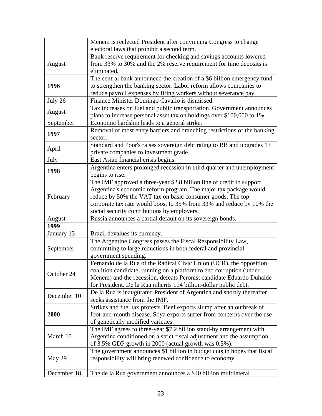|             | Menem is reelected President after convincing Congress to change                                                                       |
|-------------|----------------------------------------------------------------------------------------------------------------------------------------|
|             | electoral laws that prohibit a second term.                                                                                            |
| August      | Bank reserve requirement for checking and savings accounts lowered                                                                     |
|             | from 33% to 30% and the 2% reserve requirement for time deposits is                                                                    |
|             | eliminated.                                                                                                                            |
|             | The central bank announced the creation of a \$6 billion emergency fund                                                                |
| 1996        | to strengthen the banking sector. Labor reform allows companies to<br>reduce payroll expenses by firing workers without severance pay. |
| July 26     | Finance Minister Domingo Cavallo is dismissed.                                                                                         |
|             | Tax increases on fuel and public transportation. Government announces                                                                  |
| August      | plans to increase personal asset tax on holdings over \$100,000 to 1%.                                                                 |
| September   | Economic hardship leads to a general strike.                                                                                           |
|             | Removal of most entry barriers and branching restrictions of the banking                                                               |
| 1997        | sector.                                                                                                                                |
|             | Standard and Poor's raises sovereign debt rating to BB and upgrades 13                                                                 |
| April       | private companies to investment grade.                                                                                                 |
| July        | East Asian financial crisis begins.                                                                                                    |
|             | Argentina enters prolonged recession in third quarter and unemployment                                                                 |
| 1998        | begins to rise.                                                                                                                        |
|             | The IMF approved a three-year \$2.8 billion line of credit to support                                                                  |
|             | Argentina's economic reform program. The major tax package would                                                                       |
| February    | reduce by 50% the VAT tax on basic consumer goods. The top                                                                             |
|             | corporate tax rate would boost to 35% from 33% and reduce by 10% the                                                                   |
|             | social security contributions by employers.                                                                                            |
| August      | Russia announces a partial default on its sovereign bonds.                                                                             |
| 1999        |                                                                                                                                        |
| January 13  | Brazil devalues its currency.                                                                                                          |
|             | The Argentine Congress passes the Fiscal Responsibility Law,                                                                           |
| September   | committing to large reductions in both federal and provincial                                                                          |
|             | government spending.                                                                                                                   |
|             | Fernando de la Rua of the Radical Civic Union (UCR), the opposition                                                                    |
| October 24  | coalition candidate, running on a platform to end corruption (under                                                                    |
|             | Menem) and the recession, defeats Peronist candidate Eduardo Duhalde                                                                   |
|             | for President. De la Rua inherits 114 billion-dollar public debt.                                                                      |
| December 10 | De la Rua is inaugurated President of Argentina and shortly thereafter<br>seeks assistance from the IMF.                               |
|             | Strikes and fuel tax protests. Beef exports slump after an outbreak of                                                                 |
| 2000        | foot-and-mouth disease. Soya exports suffer from concerns over the use                                                                 |
|             | of genetically modified varieties.                                                                                                     |
| March 10    | The IMF agrees to three-year \$7.2 billion stand-by arrangement with                                                                   |
|             | Argentina conditioned on a strict fiscal adjustment and the assumption                                                                 |
|             | of 3.5% GDP growth in 2000 (actual growth was 0.5%).                                                                                   |
|             | The government announces \$1 billion in budget cuts in hopes that fiscal                                                               |
| May 29      | responsibility will bring renewed confidence to economy.                                                                               |
|             |                                                                                                                                        |
| December 18 | The de la Rua government announces a \$40 billion multilateral                                                                         |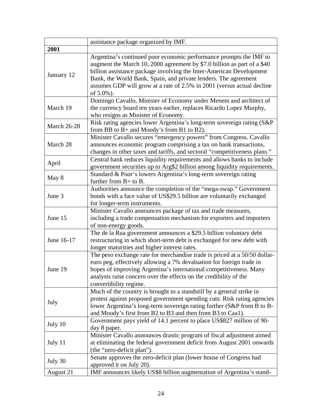|                    | assistance package organized by IMF.                                                                                                                                                                                                                                                                                                                                           |
|--------------------|--------------------------------------------------------------------------------------------------------------------------------------------------------------------------------------------------------------------------------------------------------------------------------------------------------------------------------------------------------------------------------|
| 2001               |                                                                                                                                                                                                                                                                                                                                                                                |
| January 12         | Argentina's continued poor economic performance prompts the IMF to<br>augment the March 10, 2000 agreement by \$7.0 billion as part of a \$40<br>billion assistance package involving the Inter-American Development<br>Bank, the World Bank, Spain, and private lenders. The agreement<br>assumes GDP will grow at a rate of 2.5% in 2001 (versus actual decline<br>of 5.0%). |
| March 19           | Domingo Cavallo, Minister of Economy under Menem and architect of<br>the currency board ten years earlier, replaces Ricardo Lopez Murphy,<br>who resigns as Minister of Economy.                                                                                                                                                                                               |
| <b>March 26-28</b> | Risk rating agencies lower Argentina's long-term sovereign rating (S&P)<br>from BB to $B$ + and Moody's from B1 to B2).                                                                                                                                                                                                                                                        |
| March 28           | Minister Cavallo secures "emergency powers" from Congress. Cavallo<br>announces economic program comprising a tax on bank transactions,<br>changes in other taxes and tariffs, and sectoral "competitiveness plans."                                                                                                                                                           |
| April              | Central bank reduces liquidity requirements and allows banks to include<br>government securities up to Arg\$2 billion among liquidity requirements.                                                                                                                                                                                                                            |
| May 8              | Standard & Poor's lowers Argentina's long-term sovereign rating<br>further from $B+$ to B.                                                                                                                                                                                                                                                                                     |
| June 3             | Authorities announce the completion of the "mega-swap." Government<br>bonds with a face value of US\$29.5 billion are voluntarily exchanged<br>for longer-term instruments.                                                                                                                                                                                                    |
| June 15            | Minister Cavallo announces package of tax and trade measures,<br>including a trade compensation mechanism for exporters and importers<br>of non-energy goods.                                                                                                                                                                                                                  |
| June 16-17         | The de la Rua government announces a \$29.5 billion voluntary debt<br>restructuring in which short-term debt is exchanged for new debt with<br>longer maturities and higher interest rates.                                                                                                                                                                                    |
| June 19            | The peso exchange rate for merchandise trade is priced at a 50/50 dollar-<br>euro peg, effectively allowing a 7% devaluation for foreign trade in<br>hopes of improving Argentina's international competitiveness. Many<br>analysts raise concern over the effects on the credibility of the<br>convertibility regime.                                                         |
| July               | Much of the country is brought to a standstill by a general strike in<br>protest against proposed government spending cuts. Risk rating agencies<br>lower Argentina's long-term sovereign rating further (S&P from B to B-<br>and Moody's first from B2 to B3 and then from B3 to Caa1).                                                                                       |
| July 10            | Government pays yield of 14.1 percent to place US\$827 million of 90-<br>day 8 paper.                                                                                                                                                                                                                                                                                          |
| July 11            | Minister Cavallo announces drastic program of fiscal adjustment aimed<br>at eliminating the federal government deficit from August 2001 onwards<br>(the "zero-deficit plan").                                                                                                                                                                                                  |
| July 30            | Senate approves the zero-deficit plan (lower house of Congress had<br>approved it on July 20).                                                                                                                                                                                                                                                                                 |
| August 21          | IMF announces likely US\$8 billion augmentation of Argentina's stand-                                                                                                                                                                                                                                                                                                          |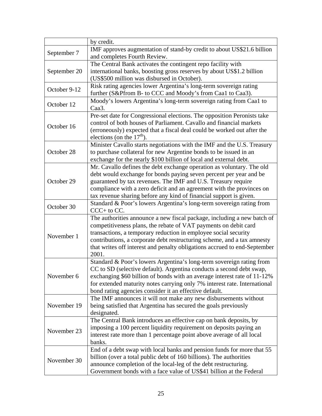|              | by credit.                                                                                                                              |
|--------------|-----------------------------------------------------------------------------------------------------------------------------------------|
| September 7  | IMF approves augmentation of stand-by credit to about US\$21.6 billion                                                                  |
|              | and completes Fourth Review.                                                                                                            |
|              | The Central Bank activates the contingent repo facility with                                                                            |
| September 20 | international banks, boosting gross reserves by about US\$1.2 billion                                                                   |
|              | (US\$500 million was disbursed in October).                                                                                             |
| October 9-12 | Risk rating agencies lower Argentina's long-term sovereign rating                                                                       |
|              | further (S&Pfrom B- to CCC and Moody's from Caa1 to Caa3).                                                                              |
| October 12   | Moody's lowers Argentina's long-term sovereign rating from Caa1 to                                                                      |
|              | Caa <sub>3</sub> .                                                                                                                      |
|              | Pre-set date for Congressional elections. The opposition Peronists take                                                                 |
| October 16   | control of both houses of Parliament. Cavallo and financial markets                                                                     |
|              | (erroneously) expected that a fiscal deal could be worked out after the                                                                 |
|              | elections (on the $17th$ ).                                                                                                             |
|              | Minister Cavallo starts negotiations with the IMF and the U.S. Treasury                                                                 |
| October 28   | to purchase collateral for new Argentine bonds to be issued in an                                                                       |
|              | exchange for the nearly \$100 billion of local and external debt.                                                                       |
|              | Mr. Cavallo defines the debt exchange operation as voluntary. The old                                                                   |
|              | debt would exchange for bonds paying seven percent per year and be                                                                      |
| October 29   | guaranteed by tax revenues. The IMF and U.S. Treasury require                                                                           |
|              | compliance with a zero deficit and an agreement with the provinces on                                                                   |
|              | tax revenue sharing before any kind of financial support is given.                                                                      |
| October 30   | Standard & Poor's lowers Argentina's long-term sovereign rating from<br>$CCC+$ to $CC$ .                                                |
|              | The authorities announce a new fiscal package, including a new batch of                                                                 |
|              | competitiveness plans, the rebate of VAT payments on debit card                                                                         |
| November 1   | transactions, a temporary reduction in employee social security                                                                         |
|              | contributions, a corporate debt restructuring scheme, and a tax amnesty                                                                 |
|              | that writes off interest and penalty obligations accrued to end-September                                                               |
|              | 2001.                                                                                                                                   |
|              | Standard & Poor's lowers Argentina's long-term sovereign rating from                                                                    |
|              | CC to SD (selective default). Argentina conducts a second debt swap,                                                                    |
| November 6   | exchanging \$60 billion of bonds with an average interest rate of 11-12%                                                                |
|              | for extended maturity notes carrying only 7% interest rate. International                                                               |
|              | bond rating agencies consider it an effective default.                                                                                  |
| November 19  | The IMF announces it will not make any new disbursements without                                                                        |
|              | being satisfied that Argentina has secured the goals previously                                                                         |
|              | designated.                                                                                                                             |
| November 23  | The Central Bank introduces an effective cap on bank deposits, by<br>imposing a 100 percent liquidity requirement on deposits paying an |
|              | interest rate more than 1 percentage point above average of all local                                                                   |
|              | banks.                                                                                                                                  |
|              | End of a debt swap with local banks and pension funds for more that 55                                                                  |
|              | billion (over a total public debt of 160 billions). The authorities                                                                     |
| November 30  | announce completion of the local-leg of the debt restructuring.                                                                         |
|              | Government bonds with a face value of US\$41 billion at the Federal                                                                     |
|              |                                                                                                                                         |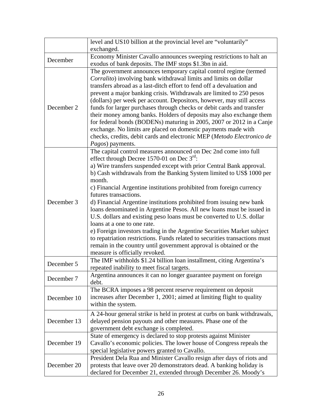|             | level and US10 billion at the provincial level are "voluntarily"<br>exchanged.                                                                                                                                                                                                                                                                                                                                                                                                                                                                                                                                                                                                                                                                                                                                                                                                                                   |
|-------------|------------------------------------------------------------------------------------------------------------------------------------------------------------------------------------------------------------------------------------------------------------------------------------------------------------------------------------------------------------------------------------------------------------------------------------------------------------------------------------------------------------------------------------------------------------------------------------------------------------------------------------------------------------------------------------------------------------------------------------------------------------------------------------------------------------------------------------------------------------------------------------------------------------------|
| December    | Economy Minister Cavallo announces sweeping restrictions to halt an<br>exodus of bank deposits. The IMF stops \$1.3bn in aid.                                                                                                                                                                                                                                                                                                                                                                                                                                                                                                                                                                                                                                                                                                                                                                                    |
| December 2  | The government announces temporary capital control regime (termed<br>Corralito) involving bank withdrawal limits and limits on dollar<br>transfers abroad as a last-ditch effort to fend off a devaluation and<br>prevent a major banking crisis. Withdrawals are limited to 250 pesos<br>(dollars) per week per account. Depositors, however, may still access<br>funds for larger purchases through checks or debit cards and transfer<br>their money among banks. Holders of deposits may also exchange them<br>for federal bonds (BODENs) maturing in 2005, 2007 or 2012 in a Canje<br>exchange. No limits are placed on domestic payments made with<br>checks, credits, debit cards and electronic MEP (Metodo Electronico de<br><i>Pagos</i> ) payments.                                                                                                                                                   |
| December 3  | The capital control measures announced on Dec 2nd come into full<br>effect through Decree 1570-01 on Dec $3^{\text{rd}}$ :<br>a) Wire transfers suspended except with prior Central Bank approval.<br>b) Cash withdrawals from the Banking System limited to US\$ 1000 per<br>month.<br>c) Financial Argentine institutions prohibited from foreign currency<br>futures transactions.<br>d) Financial Argentine institutions prohibited from issuing new bank<br>loans denominated in Argentine Pesos. All new loans must be issued in<br>U.S. dollars and existing peso loans must be converted to U.S. dollar<br>loans at a one to one rate.<br>e) Foreign investors trading in the Argentine Securities Market subject<br>to repatriation restrictions. Funds related to securities transactions must<br>remain in the country until government approval is obtained or the<br>measure is officially revoked. |
| December 5  | The IMF withholds \$1.24 billion loan installment, citing Argentina's<br>repeated inability to meet fiscal targets.                                                                                                                                                                                                                                                                                                                                                                                                                                                                                                                                                                                                                                                                                                                                                                                              |
| December 7  | Argentina announces it can no longer guarantee payment on foreign<br>debt.                                                                                                                                                                                                                                                                                                                                                                                                                                                                                                                                                                                                                                                                                                                                                                                                                                       |
| December 10 | The BCRA imposes a 98 percent reserve requirement on deposit<br>increases after December 1, 2001; aimed at limiting flight to quality<br>within the system.                                                                                                                                                                                                                                                                                                                                                                                                                                                                                                                                                                                                                                                                                                                                                      |
| December 13 | A 24-hour general strike is held in protest at curbs on bank withdrawals,<br>delayed pension payouts and other measures. Phase one of the<br>government debt exchange is completed.                                                                                                                                                                                                                                                                                                                                                                                                                                                                                                                                                                                                                                                                                                                              |
| December 19 | State of emergency is declared to stop protests against Minister<br>Cavallo's economic policies. The lower house of Congress repeals the<br>special legislative powers granted to Cavallo.                                                                                                                                                                                                                                                                                                                                                                                                                                                                                                                                                                                                                                                                                                                       |
| December 20 | President Dela Rua and Minister Cavallo resign after days of riots and<br>protests that leave over 20 demonstrators dead. A banking holiday is<br>declared for December 21, extended through December 26. Moody's                                                                                                                                                                                                                                                                                                                                                                                                                                                                                                                                                                                                                                                                                                |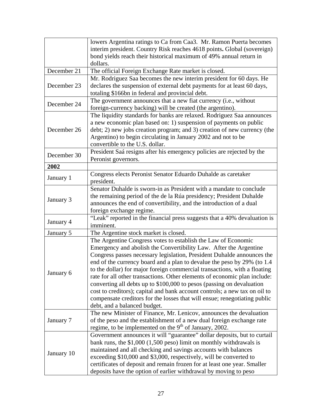|             | lowers Argentina ratings to Ca from Caa3. Mr. Ramon Puerta becomes         |
|-------------|----------------------------------------------------------------------------|
|             | interim president. Country Risk reaches 4618 points. Global (sovereign)    |
|             | bond yields reach their historical maximum of 49% annual return in         |
|             | dollars.                                                                   |
| December 21 | The official Foreign Exchange Rate market is closed.                       |
|             | Mr. Rodriguez Saa becomes the new interim president for 60 days. He        |
| December 23 | declares the suspension of external debt payments for at least 60 days,    |
|             | totaling \$166bn in federal and provincial debt.                           |
|             | The government announces that a new fiat currency (i.e., without           |
| December 24 | foreign-currency backing) will be created (the argentino).                 |
|             | The liquidity standards for banks are relaxed. Rodriguez Saa announces     |
|             | a new economic plan based on: 1) suspension of payments on public          |
| December 26 | debt; 2) new jobs creation program; and 3) creation of new currency (the   |
|             | Argentino) to begin circulating in January 2002 and not to be              |
|             | convertible to the U.S. dollar.                                            |
|             | President Saá resigns after his emergency policies are rejected by the     |
| December 30 | Peronist governors.                                                        |
| 2002        |                                                                            |
|             | Congress elects Peronist Senator Eduardo Duhalde as caretaker              |
| January 1   | president.                                                                 |
|             | Senator Duhalde is sworn-in as President with a mandate to conclude        |
|             | the remaining period of the de la Rúa presidency; President Duhalde        |
| January 3   | announces the end of convertibility, and the introduction of a dual        |
|             | foreign exchange regime.                                                   |
|             | "Leak" reported in the financial press suggests that a 40% devaluation is  |
| January 4   | imminent.                                                                  |
| January 5   | The Argentine stock market is closed.                                      |
|             | The Argentine Congress votes to establish the Law of Economic              |
|             | Emergency and abolish the Convertibility Law. After the Argentine          |
|             | Congress passes necessary legislation, President Duhalde announces the     |
|             | end of the currency board and a plan to devalue the peso by 29% (to 1.4    |
|             | to the dollar) for major foreign commercial transactions, with a floating  |
| January 6   | rate for all other transactions. Other elements of economic plan include:  |
|             | converting all debts up to \$100,000 to pesos (passing on devaluation      |
|             | cost to creditors); capital and bank account controls; a new tax on oil to |
|             | compensate creditors for the losses that will ensue; renegotiating public  |
|             | debt, and a balanced budget.                                               |
| January 7   | The new Minister of Finance, Mr. Lenicov, announces the devaluation        |
|             | of the peso and the establishment of a new dual foreign exchange rate      |
|             | regime, to be implemented on the 9 <sup>th</sup> of January, 2002.         |
| January 10  | Government announces it will "guarantee" dollar deposits, but to curtail   |
|             | bank runs, the $$1,000$ (1,500 peso) limit on monthly withdrawals is       |
|             | maintained and all checking and savings accounts with balances             |
|             | exceeding \$10,000 and \$3,000, respectively, will be converted to         |
|             | certificates of deposit and remain frozen for at least one year. Smaller   |
|             | deposits have the option of earlier withdrawal by moving to peso           |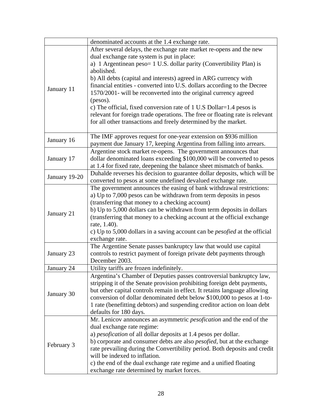|               | denominated accounts at the 1.4 exchange rate.                                    |
|---------------|-----------------------------------------------------------------------------------|
|               | After several delays, the exchange rate market re-opens and the new               |
|               | dual exchange rate system is put in place:                                        |
|               | a) 1 Argentinean peso= 1 U.S. dollar parity (Convertibility Plan) is              |
|               | abolished.                                                                        |
|               | b) All debts (capital and interests) agreed in ARG currency with                  |
|               | financial entities - converted into U.S. dollars according to the Decree          |
| January 11    | 1570/2001- will be reconverted into the original currency agreed                  |
|               | (pesos).                                                                          |
|               | c) The official, fixed conversion rate of 1 U.S Dollar=1.4 pesos is               |
|               | relevant for foreign trade operations. The free or floating rate is relevant      |
|               | for all other transactions and freely determined by the market.                   |
|               |                                                                                   |
|               | The IMF approves request for one-year extension on \$936 million                  |
| January 16    | payment due January 17, keeping Argentina from falling into arrears.              |
|               | Argentine stock market re-opens. The government announces that                    |
| January 17    | dollar denominated loans exceeding \$100,000 will be converted to pesos           |
|               | at 1.4 for fixed rate, deepening the balance sheet mismatch of banks.             |
|               | Duhalde reverses his decision to guarantee dollar deposits, which will be         |
| January 19-20 | converted to pesos at some undefined devalued exchange rate.                      |
|               | The government announces the easing of bank withdrawal restrictions:              |
|               | a) Up to 7,000 pesos can be withdrawn from term deposits in pesos                 |
|               | (transferring that money to a checking account)                                   |
|               | b) Up to 5,000 dollars can be withdrawn from term deposits in dollars             |
| January 21    | (transferring that money to a checking account at the official exchange           |
|               | rate, 1.40).                                                                      |
|               | c) Up to 5,000 dollars in a saving account can be <i>pesofied</i> at the official |
|               | exchange rate.                                                                    |
|               | The Argentine Senate passes bankruptcy law that would use capital                 |
| January 23    | controls to restrict payment of foreign private debt payments through             |
|               | December 2003.                                                                    |
| January 24    | Utility tariffs are frozen indefinitely.                                          |
|               | Argentina's Chamber of Deputies passes controversial bankruptcy law,              |
|               | stripping it of the Senate provision prohibiting foreign debt payments,           |
|               | but other capital controls remain in effect. It retains language allowing         |
| January 30    | conversion of dollar denominated debt below \$100,000 to pesos at 1-to-           |
|               | 1 rate (benefitting debtors) and suspending creditor action on loan debt          |
|               | defaults for 180 days.                                                            |
| February 3    | Mr. Lenicov announces an asymmetric <i>pesofication</i> and the end of the        |
|               | dual exchange rate regime:                                                        |
|               | a) pesofication of all dollar deposits at 1.4 pesos per dollar.                   |
|               | b) corporate and consumer debts are also <i>pesofied</i> , but at the exchange    |
|               | rate prevailing during the Convertibility period. Both deposits and credit        |
|               | will be indexed to inflation.                                                     |
|               | c) the end of the dual exchange rate regime and a unified floating                |
|               | exchange rate determined by market forces.                                        |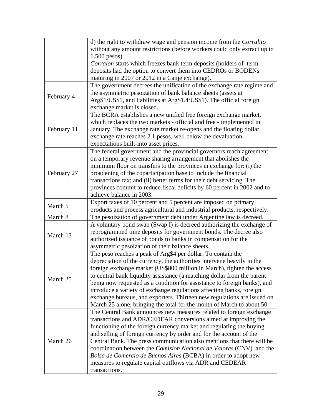|             | d) the right to withdraw wage and pension income from the Corralito        |
|-------------|----------------------------------------------------------------------------|
|             | without any amount restrictions (before workers could only extract up to   |
|             | $1.500$ pesos).                                                            |
|             | Corralon starts which freezes bank term deposits (holders of term          |
|             | deposits had the option to convert them into CEDROs or BODENs              |
|             | maturing in 2007 or 2012 in a Canje exchange).                             |
|             | The government decrees the unification of the exchange rate regime and     |
|             | the asymmetric pesoization of bank balance sheets (assets at               |
| February 4  | Arg\$1/US\$1, and liabilities at Arg\$1.4/US\$1). The official foreign     |
|             | exchange market is closed.                                                 |
|             | The BCRA establishes a new unified free foreign exchange market,           |
|             | which replaces the two markets - official and free - implemented in        |
| February 11 | January. The exchange rate market re-opens and the floating dollar         |
|             | exchange rate reaches 2.1 pesos, well below the devaluation                |
|             | expectations built-into asset prices.                                      |
|             | The federal government and the provincial governors reach agreement        |
|             | on a temporary revenue sharing arrangement that abolishes the              |
|             | minimum floor on transfers to the provinces in exchange for: (i) the       |
|             |                                                                            |
| February 27 | broadening of the coparticipation base to include the financial            |
|             | transactions tax; and (ii) better terms for their debt servicing. The      |
|             | provinces commit to reduce fiscal deficits by 60 percent in 2002 and to    |
|             | achieve balance in 2003.                                                   |
| March 5     | Export taxes of 10 percent and 5 percent are imposed on primary            |
|             | products and process agricultural and industrial products, respectively.   |
| March 8     | The pesoization of government debt under Argentine law is decreed.         |
|             | A voluntary bond swap (Swap I) is decreed authorizing the exchange of      |
| March 13    | reprogrammed time deposits for government bonds. The decree also           |
|             | authorized issuance of bonds to banks in compensation for the              |
|             | asymmetric pesoization of their balance sheets.                            |
|             | The peso reaches a peak of Arg\$4 per dollar. To contain the               |
|             | depreciation of the currency, the authorities intervene heavily in the     |
|             | foreign exchange market (US\$800 million in March), tighten the access     |
| March 25    | to central bank liquidity assistance (a matching dollar from the parent    |
|             | being now requested as a condition for assistance to foreign banks), and   |
|             | introduce a variety of exchange regulations affecting banks, foreign       |
|             | exchange bureaus, and exporters. Thirteen new regulations are issued on    |
|             | March 25 alone, bringing the total for the month of March to about 50.     |
| March 26    | The Central Bank announces new measures related to foreign exchange        |
|             | transactions and ADR/CEDEAR conversions aimed at improving the             |
|             | functioning of the foreign currency market and regulating the buying       |
|             | and selling of foreign currency by order and for the account of the        |
|             | Central Bank. The press communication also mentions that there will be     |
|             | coordination between the <i>Comision Nacional de Valores</i> (CNV) and the |
|             | Bolsa de Comercio de Buenos Aires (BCBA) in order to adopt new             |
|             | measures to regulate capital outflows via ADR and CEDEAR                   |
|             | transactions.                                                              |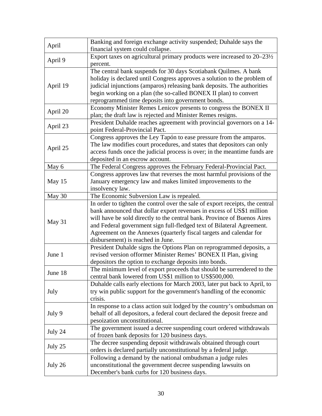| April    | Banking and foreign exchange activity suspended; Duhalde says the<br>financial system could collapse.                                                                                                                                                                                                                                                                                                                   |
|----------|-------------------------------------------------------------------------------------------------------------------------------------------------------------------------------------------------------------------------------------------------------------------------------------------------------------------------------------------------------------------------------------------------------------------------|
| April 9  | Export taxes on agricultural primary products were increased to $20-23\frac{1}{2}$<br>percent.                                                                                                                                                                                                                                                                                                                          |
| April 19 | The central bank suspends for 30 days Scotiabank Quilmes. A bank<br>holiday is declared until Congress approves a solution to the problem of<br>judicial injunctions (amparos) releasing bank deposits. The authorities<br>begin working on a plan (the so-called BONEX II plan) to convert<br>reprogrammed time deposits into government bonds.                                                                        |
| April 20 | Economy Minister Remes Lenicov presents to congress the BONEX II<br>plan; the draft law is rejected and Minister Remes resigns.                                                                                                                                                                                                                                                                                         |
| April 23 | President Duhalde reaches agreement with provincial governors on a 14-<br>point Federal-Provincial Pact.                                                                                                                                                                                                                                                                                                                |
| April 25 | Congress approves the Ley Tapón to ease pressure from the amparos.<br>The law modifies court procedures, and states that depositors can only<br>access funds once the judicial process is over; in the meantime funds are<br>deposited in an escrow account.                                                                                                                                                            |
| May 6    | The Federal Congress approves the February Federal-Provincial Pact.                                                                                                                                                                                                                                                                                                                                                     |
| May 15   | Congress approves law that reverses the most harmful provisions of the<br>January emergency law and makes limited improvements to the<br>insolvency law.                                                                                                                                                                                                                                                                |
| May 30   | The Economic Subversion Law is repealed.                                                                                                                                                                                                                                                                                                                                                                                |
| May 31   | In order to tighten the control over the sale of export receipts, the central<br>bank announced that dollar export revenues in excess of US\$1 million<br>will have be sold directly to the central bank. Province of Buenos Aires<br>and Federal government sign full-fledged text of Bilateral Agreement.<br>Agreement on the Annexes (quarterly fiscal targets and calendar for<br>disbursement) is reached in June. |
| June 1   | President Duhalde signs the Options Plan on reprogrammed deposits, a<br>revised version offormer Minister Remes' BONEX II Plan, giving<br>depositors the option to exchange deposits into bonds.                                                                                                                                                                                                                        |
| June 18  | The minimum level of export proceeds that should be surrendered to the<br>central bank lowered from US\$1 million to US\$500,000.                                                                                                                                                                                                                                                                                       |
| July     | Duhalde calls early elections for March 2003, later put back to April, to<br>try win public support for the government's handling of the economic<br>crisis.                                                                                                                                                                                                                                                            |
| July 9   | In response to a class action suit lodged by the country's ombudsman on<br>behalf of all depositors, a federal court declared the deposit freeze and<br>pesoization unconstitutional.                                                                                                                                                                                                                                   |
| July 24  | The government issued a decree suspending court ordered withdrawals<br>of frozen bank deposits for 120 business days.                                                                                                                                                                                                                                                                                                   |
| July 25  | The decree suspending deposit withdrawals obtained through court<br>orders is declared partially unconstitutional by a federal judge.                                                                                                                                                                                                                                                                                   |
| July 26  | Following a demand by the national ombudsman a judge rules<br>unconstitutional the government decree suspending lawsuits on<br>December's bank curbs for 120 business days.                                                                                                                                                                                                                                             |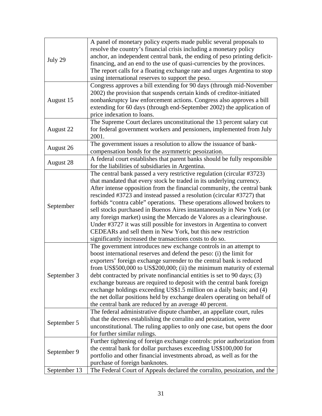| July 29      | A panel of monetary policy experts made public several proposals to<br>resolve the country's financial crisis including a monetary policy<br>anchor, an independent central bank, the ending of peso printing deficit-<br>financing, and an end to the use of quasi-currencies by the provinces.<br>The report calls for a floating exchange rate and urges Argentina to stop<br>using international reserves to support the peso.                                                                                                                                                                                                                                                                                                  |
|--------------|-------------------------------------------------------------------------------------------------------------------------------------------------------------------------------------------------------------------------------------------------------------------------------------------------------------------------------------------------------------------------------------------------------------------------------------------------------------------------------------------------------------------------------------------------------------------------------------------------------------------------------------------------------------------------------------------------------------------------------------|
| August 15    | Congress approves a bill extending for 90 days (through mid-November<br>2002) the provision that suspends certain kinds of creditor-initiated<br>nonbankruptcy law enforcement actions. Congress also approves a bill<br>extending for 60 days (through end-September 2002) the application of<br>price indexation to loans.                                                                                                                                                                                                                                                                                                                                                                                                        |
| August 22    | The Supreme Court declares unconstitutional the 13 percent salary cut<br>for federal government workers and pensioners, implemented from July<br>2001.                                                                                                                                                                                                                                                                                                                                                                                                                                                                                                                                                                              |
| August 26    | The government issues a resolution to allow the issuance of bank-<br>compensation bonds for the asymmetric pesoization.                                                                                                                                                                                                                                                                                                                                                                                                                                                                                                                                                                                                             |
| August 28    | A federal court establishes that parent banks should be fully responsible<br>for the liabilities of subsidiaries in Argentina.                                                                                                                                                                                                                                                                                                                                                                                                                                                                                                                                                                                                      |
| September    | The central bank passed a very restrictive regulation (circular #3723)<br>that mandated that every stock be traded in its underlying currency.<br>After intense opposition from the financial community, the central bank<br>rescinded #3723 and instead passed a resolution (circular #3727) that<br>forbids "contra cable" operations. These operations allowed brokers to<br>sell stocks purchased in Buenos Aires instantaneously in New York (or<br>any foreign market) using the Mercado de Valores as a clearinghouse.<br>Under #3727 it was still possible for investors in Argentina to convert<br>CEDEARs and sell them in New York, but this new restriction<br>significantly increased the transactions costs to do so. |
| September 3  | The government introduces new exchange controls in an attempt to<br>boost international reserves and defend the peso: (i) the limit for<br>exporters' foreign exchange surrender to the central bank is reduced<br>from US\$500,000 to US\$200,000; (ii) the minimum maturity of external<br>debt contracted by private nonfinancial entities is set to 90 days; (3)<br>exchange bureaus are required to deposit with the central bank foreign<br>exchange holdings exceeding US\$1.5 million on a daily basis; and (4)<br>the net dollar positions held by exchange dealers operating on behalf of<br>the central bank are reduced by an average 40 percent.                                                                       |
| September 5  | The federal administrative dispute chamber, an appellate court, rules<br>that the decrees establishing the corralito and pesoization, were<br>unconstitutional. The ruling applies to only one case, but opens the door<br>for further similar rulings.                                                                                                                                                                                                                                                                                                                                                                                                                                                                             |
| September 9  | Further tightening of foreign exchange controls: prior authorization from<br>the central bank for dollar purchases exceeding US\$100,000 for<br>portfolio and other financial investments abroad, as well as for the<br>purchase of foreign banknotes.                                                                                                                                                                                                                                                                                                                                                                                                                                                                              |
| September 13 | The Federal Court of Appeals declared the corralito, pesoization, and the                                                                                                                                                                                                                                                                                                                                                                                                                                                                                                                                                                                                                                                           |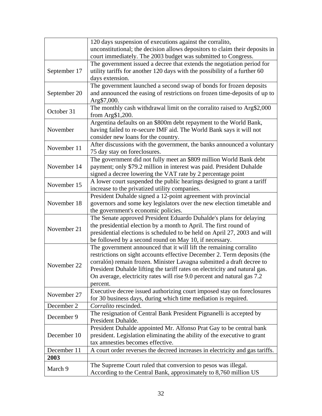|              | 120 days suspension of executions against the corralito,                     |
|--------------|------------------------------------------------------------------------------|
|              | unconstitutional; the decision allows depositors to claim their deposits in  |
|              | court immediately. The 2003 budget was submitted to Congress.                |
|              | The government issued a decree that extends the negotiation period for       |
| September 17 | utility tariffs for another 120 days with the possibility of a further 60    |
|              | days extension.                                                              |
|              | The government launched a second swap of bonds for frozen deposits           |
| September 20 | and announced the easing of restrictions on frozen time-deposits of up to    |
|              | Arg\$7,000.                                                                  |
|              | The monthly cash withdrawal limit on the corralito raised to Arg\$2,000      |
| October 31   |                                                                              |
|              | from $Arg$1,200$ .                                                           |
|              | Argentina defaults on an \$800m debt repayment to the World Bank,            |
| November     | having failed to re-secure IMF aid. The World Bank says it will not          |
|              | consider new loans for the country.                                          |
| November 11  | After discussions with the government, the banks announced a voluntary       |
|              | 75 day stay on foreclosures.                                                 |
|              | The government did not fully meet an \$809 million World Bank debt           |
| November 14  | payment; only \$79.2 million in interest was paid. President Duhalde         |
|              | signed a decree lowering the VAT rate by 2 percentage point                  |
| November 15  | A lower court suspended the public hearings designed to grant a tariff       |
|              | increase to the privatized utility companies.                                |
|              | President Duhalde signed a 12-point agreement with provincial                |
| November 18  | governors and some key legislators over the new election timetable and       |
|              | the government's economic policies.                                          |
|              | The Senate approved President Eduardo Duhalde's plans for delaying           |
|              | the presidential election by a month to April. The first round of            |
| November 21  | presidential elections is scheduled to be held on April 27, 2003 and will    |
|              | be followed by a second round on May 10, if necessary.                       |
|              | The government announced that it will lift the remaining corralito           |
|              | restrictions on sight accounts effective December 2. Term deposits (the      |
|              | corralón) remain frozen. Minister Lavagna submitted a draft decree to        |
| November 22  | President Duhalde lifting the tariff rates on electricity and natural gas.   |
|              |                                                                              |
|              | On average, electricity rates will rise 9.0 percent and natural gas 7.2      |
|              | percent.                                                                     |
| November 27  | Executive decree issued authorizing court imposed stay on foreclosures       |
|              | for 30 business days, during which time mediation is required.               |
| December 2   | Corralito rescinded.                                                         |
| December 9   | The resignation of Central Bank President Pignanelli is accepted by          |
|              | President Duhalde.                                                           |
| December 10  | President Duhalde appointed Mr. Alfonso Prat Gay to be central bank          |
|              | president. Legislation eliminating the ability of the executive to grant     |
|              | tax amnesties becomes effective.                                             |
| December 11  | A court order reverses the decreed increases in electricity and gas tariffs. |
| 2003         |                                                                              |
|              | The Supreme Court ruled that conversion to pesos was illegal.                |
| March 9      | According to the Central Bank, approximately to 8,760 million US             |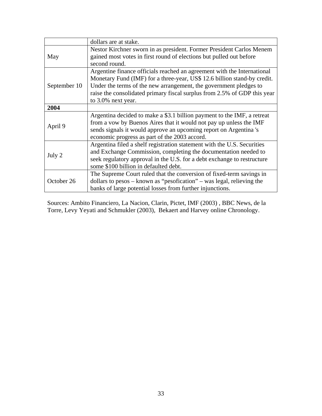|              | dollars are at stake.                                                                                                                                                                                                                                                                                                      |
|--------------|----------------------------------------------------------------------------------------------------------------------------------------------------------------------------------------------------------------------------------------------------------------------------------------------------------------------------|
| May          | Nestor Kirchner sworn in as president. Former President Carlos Menem<br>gained most votes in first round of elections but pulled out before<br>second round.                                                                                                                                                               |
| September 10 | Argentine finance officials reached an agreement with the International<br>Monetary Fund (IMF) for a three-year, US\$ 12.6 billion stand-by credit.<br>Under the terms of the new arrangement, the government pledges to<br>raise the consolidated primary fiscal surplus from 2.5% of GDP this year<br>to 3.0% next year. |
| 2004         |                                                                                                                                                                                                                                                                                                                            |
| April 9      | Argentina decided to make a \$3.1 billion payment to the IMF, a retreat<br>from a vow by Buenos Aires that it would not pay up unless the IMF<br>sends signals it would approve an upcoming report on Argentina's<br>economic progress as part of the 2003 accord.                                                         |
| July 2       | Argentina filed a shelf registration statement with the U.S. Securities<br>and Exchange Commission, completing the documentation needed to<br>seek regulatory approval in the U.S. for a debt exchange to restructure<br>some \$100 billion in defaulted debt.                                                             |
| October 26   | The Supreme Court ruled that the conversion of fixed-term savings in<br>dollars to pesos $-$ known as "pesofication" $-$ was legal, relieving the<br>banks of large potential losses from further injunctions.                                                                                                             |

Sources: Ambito Financiero, La Nacion, Clarin, Pictet, IMF (2003) , BBC News, de la Torre, Levy Yeyati and Schmukler (2003), Bekaert and Harvey online Chronology.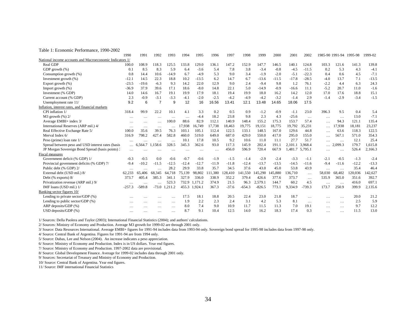#### Table 1: Economic Performance, 1990-2002

|                                                          | 1990     | 1991      | 1992           | 1993         | 1994     | 1995     | 1996     | 1997    | 1998     | 1999     | 2000    | 2001    | 2002            |          | 1985-90 1991-94 1995-98 |         | 1999-02 |
|----------------------------------------------------------|----------|-----------|----------------|--------------|----------|----------|----------|---------|----------|----------|---------|---------|-----------------|----------|-------------------------|---------|---------|
| National income accounts and Macroeconomic Indicators 1/ |          |           |                |              |          |          |          |         |          |          |         |         |                 |          |                         |         |         |
| Real GDP                                                 | 100.0    | 108.9     | 118.3          | 125.5        | 133.8    | 129.0    | 136.1    | 147.2   | 152.9    | 147.7    | 146.5   | 140.1   | 124.8           | 103.3    | 121.6                   | 141.3   | 139.8   |
| GDP growth (%)                                           | 0.1      | 8.5       | 8.3            | 5.9          | 6.4      | $-3.6$   | 5.4      | 7.8     | 3.8      | $-3.4$   | $-0.8$  | $-4.5$  | $-11.5$         | 0.2      | 5.3                     | 4.3     | $-4.1$  |
| Consumption growth (%)                                   | 0.8      | 14.4      | 10.6           | $-14.9$      | 6.7      | $-4.9$   | 5.3      | 9.0     | 3.4      | $-1.9$   | $-2.0$  | $-5.1$  | $-22.3$         | 0.4      | 0.6                     | 4.5     | $-7.1$  |
| Investment growth (%)                                    | $-12.1$  | 14.5      | 22.3           | 18.8         | 10.2     | $-13.5$  | 6.2      | 14.7    | 6.7      | $-13.6$  | $-11.5$ | $-17.8$ | $-28.5$         | $-4.0$   | 13.7                    | 7.1     | $-13.5$ |
| Export growth (%)                                        | $-23.5$  | $-19.6$   | $-6.3$         | 9.3          | 14.2     | 22.0     | 12.9     | 9.0     | 2.4      | $-9.4$   | 9.8     | 1.2     | 76.1            | $-2.2$   | 4.4                     | 6.3     | 24.3    |
| Import growth (%)                                        | $-36.9$  | 37.9      | 39.6           | 17.1         | 18.6     | $-8.0$   | 14.8     | 22.1    | 5.0      | $-14.9$  | $-0.9$  | $-16.6$ | 11.1            | $-5.2$   | 20.7                    | 11.0    | $-1.6$  |
| Investment (% GDP)                                       | 14.0     | 14.6      | 16.7           | 19.1         | 19.9     | 17.9     | 18.1     | 19.4    | 19.9     | 18.0     | 16.2    | 14.2    | 12.0            | 17.0     | 17.6                    | 18.8    | 15.1    |
| Current account (% GDP)                                  | 2.3      | $-0.9$    | $-3.1$         | $-3.3$       | $-4.1$   | $-2.0$   | $-2.5$   | $-4.2$  | $-4.9$   | $-4.2$   | $-3.2$  | $-1.4$  | 2.9             | $-1.4$   | $-2.9$                  | $-3.4$  | $-1.5$  |
| Unemployment rate 11/                                    | 9.2      | 6         | $\overline{7}$ | $\mathbf{q}$ | 12       | 16       | 16.56    | 13.41   | 12.1     | 13.48    | 14.65   | 18.06   | 17.5            |          |                         |         |         |
| Inflation, interest rates, and financial markets         |          |           |                |              |          |          |          |         |          |          |         |         |                 |          |                         |         |         |
| CPI inflation 1/                                         | 318.4    | 99.9      | 22.2           | 10.1         | 4.1      | 3.3      | 0.2      | 0.5     | 0.9      | $-1.2$   | $-0.9$  | $-1.1$  | 23.0            | 396.3    | 9.5                     | 0.4     | 5.4     |
| $M3$ growth $(\%)$ 2/                                    | $\cdots$ | $\cdots$  | $\cdots$       | $\cdots$     | $\cdots$ | $-4.4$   | 18.2     | 23.8    | 9.8      | 2.3      | 4.3     | $-25.6$ | $\cdots$        | $\cdots$ | $\cdots$                | 13.0    | $-7.1$  |
| Average EMBI+ index 3/                                   | $\cdots$ | $\cdots$  | $\cdots$       | 100.0        | 88.6     | 82.9     | 112.1    | 140.9   | 148.4    | 155.2    | 175.3   | 153.7   | 57.4            | $\cdots$ | 94.3                    | 121.1   | 135.4   |
| International Reserves (ARP mil.) 4/                     | $\cdots$ | $\cdots$  | $\cdots$       | $\ddotsc$    | 17,938   | 16,749   | 17,738   | 18,463  | 19,775   | 19,151   | 18,775  | 19,792  | 35,231          | $\cdots$ | 7,938                   | 18,181  | 23,237  |
| Real Effective Exchange Rate 5/                          | 100.0    | 35.6      | 39.5           | 76.3         | 103.1    | 105.1    | 112.4    | 122.5   | 133.1    | 148.5    | 167.0   | 129.6   | 44.8            | $\cdots$ | 63.6                    | 118.3   | 122.5   |
| Merval Index 6/                                          | 316.9    | 798.2     | 427.4          | 582.8        | 460.0    | 519.0    | 649.0    | 687.0   | 429.0    | 550.0    | 417.0   | 295.0   | 155.0           | $\cdots$ | 567.1                   | 571.0   | 354.3   |
| Peso (prime) loan rate 1/                                | $\cdots$ | .         | $\cdots$       | $\cdots$     | 10.1     | 17.8     | 10.5     | 9.2     | 10.6     | 11.0     | 11.1    | 27.7    | 51.7            | $\cdots$ | $\cdots$                | 12.1    | 25.4    |
| Spread between peso and USD interest rates (basis        | $\cdots$ | 6,564.7   | .158.6         | 328.5        | 345.3    | 362.6    | 93.0     | 117.3   | 145.9    | 202.4    | 191.1   | 2.101.1 | 3.968.4         | $\cdots$ | 2,099.3                 | 179.7   | 1,615.8 |
| JP Morgan Sovereign Bond Spread (basis points):          | $\cdots$ | $\ddotsc$ | $\cdots$       | $\cdots$     | $\cdots$ | $\cdots$ | $\cdots$ | 456.0   | 596.9    | 720.4    | 667.9   |         | 1,481.7 5,795.1 | $\cdots$ | $\cdots$                | 526.4   | 2,166.3 |
| Fiscal measures                                          |          |           |                |              |          |          |          |         |          |          |         |         |                 |          |                         |         |         |
| Government deficit (% GDP) 1/                            | $-0.3$   | $-0.5$    | 0.0            | $-0.6$       | $-0.7$   | $-0.6$   | $-1.9$   | $-1.5$  | $-1.4$   | $-2.9$   | $-2.4$  | $-3.3$  | $-1.1$          | $-2.1$   | $-0.5$                  | $-1.3$  | $-2.4$  |
| Provincial government deficits (% GDP) 7/                | $-9.4$   | $-10.2$   | $-11.5$        | $-12.5$      | $-12.4$  | $-12.7$  | $-11.9$  | $-11.8$ | $-12.4$  | $-13.7$  | $-13.5$ | $-14.5$ | $-11.6$         | $-9.4$   | $-11.6$                 | $-12.2$ | $-13.3$ |
| Public debt (% GDP) 2/                                   | $\cdots$ | $\ddotsc$ | $\cdots$       | 28.2         | 29.9     | 33.8     | 35.7     | 34.5    | 37.6     | 43.0     | 45.0    | 53.8    | 43.9            | $\cdots$ | $\cdots$                | 35.4    | 46.4    |
| External debt (USD mil.) 8/                              | 62,233   | 65,406    | 68,345         | 64,718       | 75,139   | 98,802   | 11,380   | 28,410  | 41,550   | 145,290  | 145,880 | 136,710 | $\cdots$        | 58,030   | 68,402                  | 120,036 | 42,627  |
| Debt (% exports) 8/                                      | 373.7    | 405.4     | 385.3          | 341.1        | 327.9    | 336.0    | 338.9    | 352.2   | 379.4    | 426.6    | 377.6   | 373.7   | $\cdots$        | 535.9    | 365.0                   | 351.6   | 392.7   |
| Privatization revenue (ARP mil.) 9/                      | $\cdots$ | $\cdots$  | $\cdots$       | 523.3        | 732.9    | 1.171.2  | 374.9    | 21.5    | 96.3     | 2.579.1  | 144.7   | 60.2    | 4.5             | $\cdots$ | $\cdots$                | 416.0   | 697.1   |
| IMF loans (USD mil.) 1/                                  | $-257.3$ | $-589.8$  | $-73.0$        | 1.211.2      | 455.3    | 1.924.1  | 367.3    | $-37.6$ | $-654.3$ | $-826.5$ | 773.1   | 9,334.9 | $-739.3$        | 173.7    | 250.9                   | 399.9   | 2,135.6 |
| Banking sector figures 10/                               |          |           |                |              |          |          |          |         |          |          |         |         |                 |          |                         |         |         |
| Lending to private sector/GDP (%)                        | $\cdots$ | $\cdots$  | $\cdots$       | $\cdots$     | 17.5     | 18.1     | 18.8     | 20.5    | 22.4     | 23.0     | 21.8    | 18.7    | $\cdots$        | $\cdots$ | $\cdots$                | 20.0    | 21.2    |
| Lending to public sector/GDP $(\%)$                      | $\cdots$ | $\cdots$  | $\cdots$       | $\cdots$     | 1.9      | 2.2      | 2.3      | 2.4     | 3.1      | 4.2      | 5.3     | 8.1     | $\cdots$        | $\cdots$ | $\cdots$                | 2.5     | 5.9     |
| ARP deposits/GDP (%)                                     | $\cdots$ | $\cdots$  | $\cdots$       | $\cdots$     | 8.0      | 7.4      | 9.0      | 10.9    | 11.7     | 11.5     | 11.3    | 7.0     | 19.1            | $\cdots$ | $\cdots$                | 9.7     | 12.2    |
| USD deposits/GDP (%)                                     | $\cdots$ | $\cdots$  | $\cdots$       | $\cdots$     | 8.7      | 9.1      | 10.4     | 12.5    | 14.0     | 16.2     | 18.3    | 17.4    | 0.3             | $\cdots$ | .                       | 11.5    | 13.0    |

1/ Sources: Della Paolera and Taylor (2003); International Financial Statistics (2004); and authors' calculations.

2/ Sources: Ministry of Economy and Production. Average M3 growth for 1999-02 are through 2001 only.

3/ Source: Data Resources International. Average EMBI+ figures for 1991-94 includes data from 1993-94 only. Sovereign bond spread for 1995-98 includes data from 1997-98 only.

4/ Source: Central Bank of Argentina. Figures for 1991-94 are from 1994 only.

5/ Source: Dubas, Lee and Nelson (2004). An increase indicates a peso appreciation.

6/ Source: Ministry of Economy and Production. Index is in US dollars. Year end figures.

7/ Source: Ministry of Economy and Production. 1997-2002 data are provisional.

8/ Source: Global Development Finance. Average for 1999-02 includes data through 2001 only.

9/ Sources: Secretariat of Treasury and Ministry of Economy and Production.

10/ Source: Central Bank of Argentina. Year end figures.

11/ Source: IMF international Financial Statistics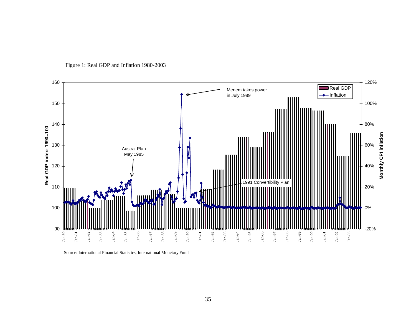

Figure 1: Real GDP and Inflation 1980-2003

Source: International Financial Statistics, International Monetary Fund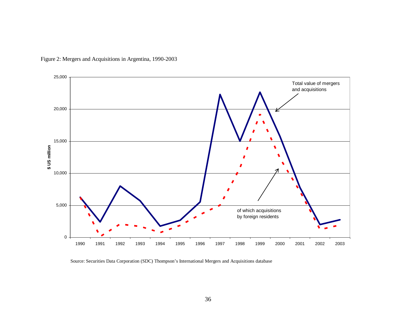

Figure 2: Mergers and Acquisitions in Argentina, 1990-2003

Source: Securities Data Corporation (SDC) Thompson's International Mergers and Acquisitions database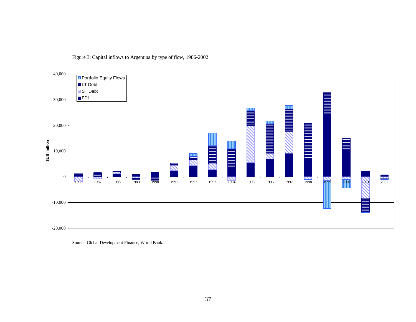



Source: Global Development Finance, World Bank.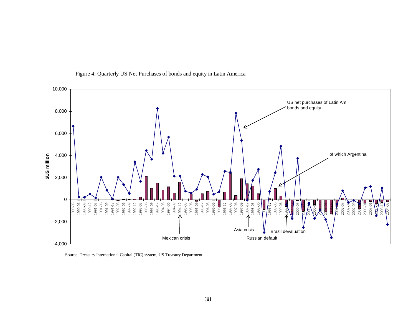

Figure 4: Quarterly US Net Purchases of bonds and equity in Latin America

Source: Treasury International Capital (TIC) system, US Treasury Department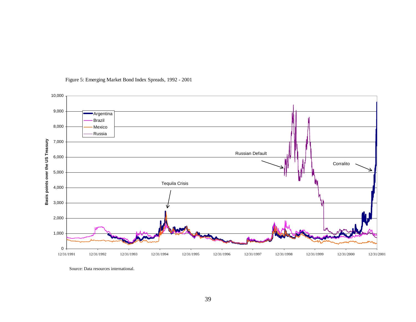

#### Figure 5: Emerging Market Bond Index Spreads, 1992 - 2001

Source: Data resources international.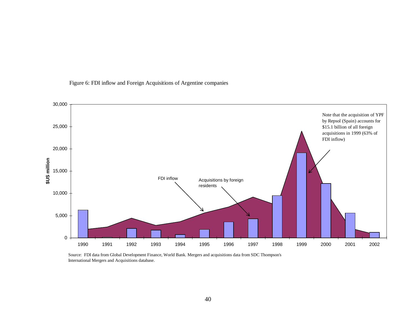

Figure 6: FDI inflow and Foreign Acquisitions of Argentine companies

Source: FDI data from Global Development Finance, World Bank. Mergers and acquisitions data from SDC Thompson's International Mergers and Acquisitions database.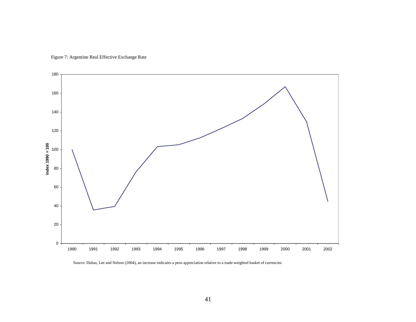Figure 7: Argentine Real Effective Exchange Rate



Source: Dubas, Lee and Nelson (2004), an increase indicates a peso appreciation relative to a trade-weighted basket of currencies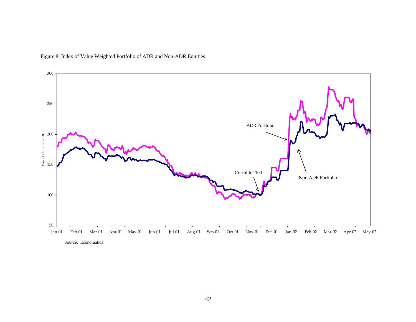